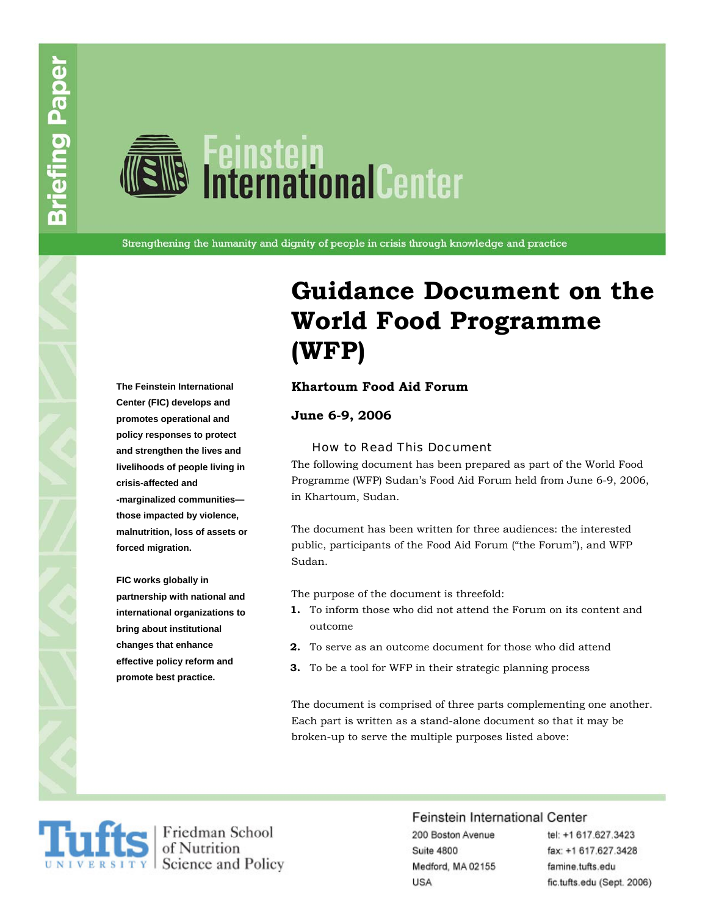# **National Center**<br>Distributional Center

Strengthening the humanity and dignity of people in crisis through knowledge and practice

**Center (FIC) develops and promotes operational and policy responses to protect and strengthen the lives and livelihoods of people living in crisis-affected and -marginalized communities those impacted by violence, malnutrition, loss of assets or forced migration.** 

**FIC works globally in partnership with national and international organizations to bring about institutional changes that enhance effective policy reform and promote best practice.** 

### **Guidance Document on the World Food Programme (WFP)**

#### **The Feinstein International Khartoum Food Aid Forum**

**June 6-9, 2006** 

#### How to Read This Document

The following document has been prepared as part of the World Food Programme (WFP) Sudan's Food Aid Forum held from June 6-9, 2006, in Khartoum, Sudan.

The document has been written for three audiences: the interested public, participants of the Food Aid Forum ("the Forum"), and WFP Sudan.

The purpose of the document is threefold:

- **1.** To inform those who did not attend the Forum on its content and outcome
- **2.** To serve as an outcome document for those who did attend
- **3.** To be a tool for WFP in their strategic planning process

The document is comprised of three parts complementing one another. Each part is written as a stand-alone document so that it may be broken-up to serve the multiple purposes listed above:



#### Feinstein International Center

200 Boston Avenue Suite 4800 Medford, MA 02155 **USA** 

tel: +1 617.627.3423 fax: +1 617.627.3428 famine.tufts.edu fic.tufts.edu (Sept. 2006)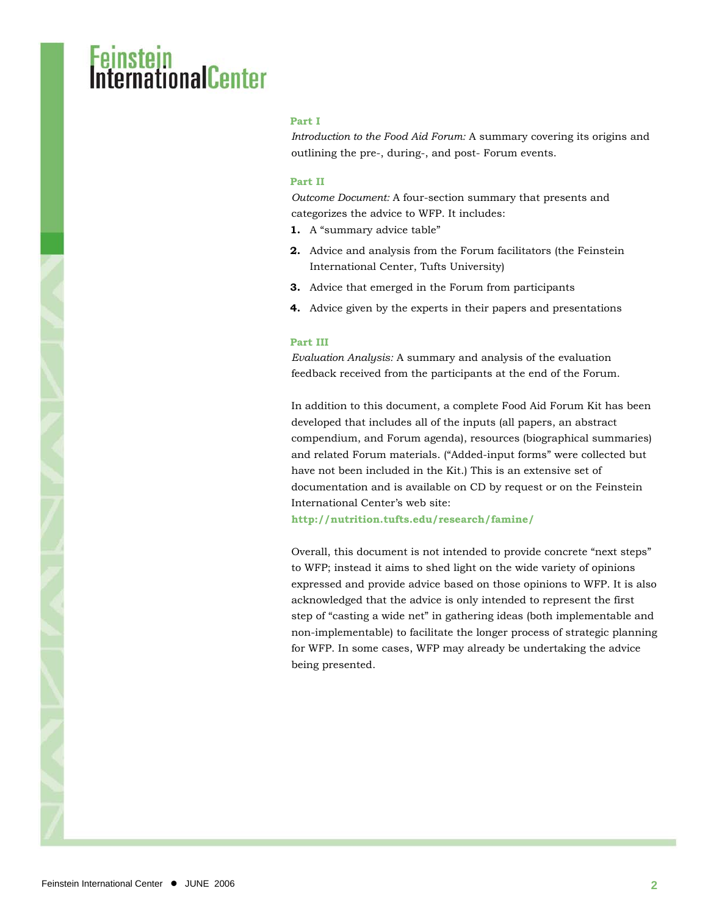#### **Part I**

*Introduction to the Food Aid Forum:* A summary covering its origins and outlining the pre-, during-, and post- Forum events.

#### **Part II**

*Outcome Document:* A four-section summary that presents and categorizes the advice to WFP. It includes:

- **1.** A "summary advice table"
- **2.** Advice and analysis from the Forum facilitators (the Feinstein International Center, Tufts University)
- **3.** Advice that emerged in the Forum from participants
- **4.** Advice given by the experts in their papers and presentations

#### **Part III**

*Evaluation Analysis:* A summary and analysis of the evaluation feedback received from the participants at the end of the Forum.

In addition to this document, a complete Food Aid Forum Kit has been developed that includes all of the inputs (all papers, an abstract compendium, and Forum agenda), resources (biographical summaries) and related Forum materials. ("Added-input forms" were collected but have not been included in the Kit.) This is an extensive set of documentation and is available on CD by request or on the Feinstein International Center's web site:

**<http://nutrition.tufts.edu/research/famine/>**

Overall, this document is not intended to provide concrete "next steps" to WFP; instead it aims to shed light on the wide variety of opinions expressed and provide advice based on those opinions to WFP. It is also acknowledged that the advice is only intended to represent the first step of "casting a wide net" in gathering ideas (both implementable and non-implementable) to facilitate the longer process of strategic planning for WFP. In some cases, WFP may already be undertaking the advice being presented.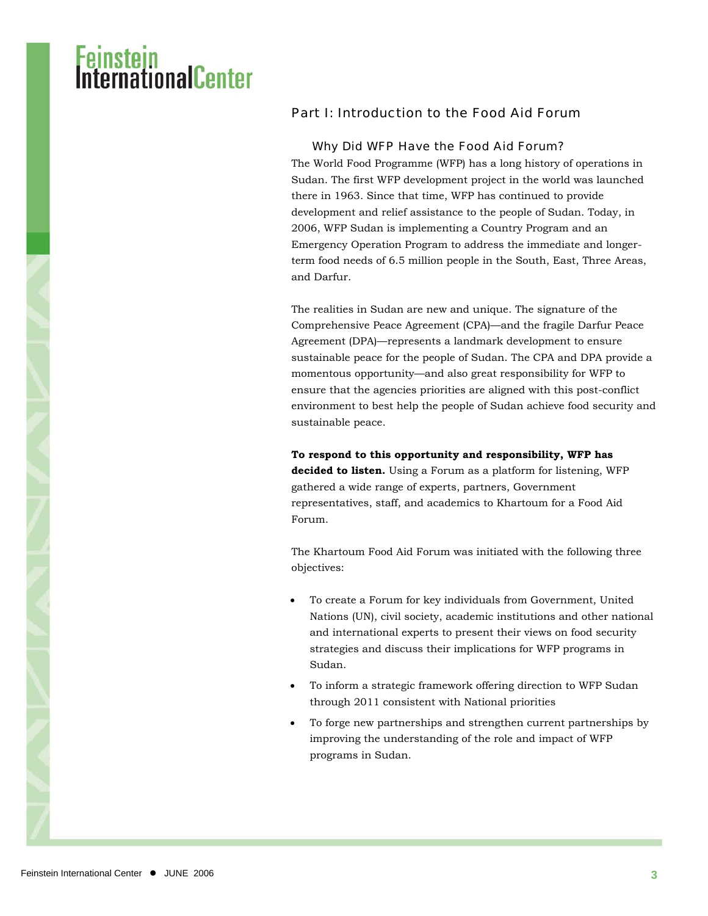### Part I: Introduction to the Food Aid Forum

#### Why Did WFP Have the Food Aid Forum?

The World Food Programme (WFP) has a long history of operations in Sudan. The first WFP development project in the world was launched there in 1963. Since that time, WFP has continued to provide development and relief assistance to the people of Sudan. Today, in 2006, WFP Sudan is implementing a Country Program and an Emergency Operation Program to address the immediate and longerterm food needs of 6.5 million people in the South, East, Three Areas, and Darfur.

The realities in Sudan are new and unique. The signature of the Comprehensive Peace Agreement (CPA)—and the fragile Darfur Peace Agreement (DPA)—represents a landmark development to ensure sustainable peace for the people of Sudan. The CPA and DPA provide a momentous opportunity—and also great responsibility for WFP to ensure that the agencies priorities are aligned with this post-conflict environment to best help the people of Sudan achieve food security and sustainable peace.

**To respond to this opportunity and responsibility, WFP has decided to listen.** Using a Forum as a platform for listening, WFP gathered a wide range of experts, partners, Government representatives, staff, and academics to Khartoum for a Food Aid Forum.

The Khartoum Food Aid Forum was initiated with the following three objectives:

- To create a Forum for key individuals from Government, United Nations (UN), civil society, academic institutions and other national and international experts to present their views on food security strategies and discuss their implications for WFP programs in Sudan.
- To inform a strategic framework offering direction to WFP Sudan through 2011 consistent with National priorities
- To forge new partnerships and strengthen current partnerships by improving the understanding of the role and impact of WFP programs in Sudan.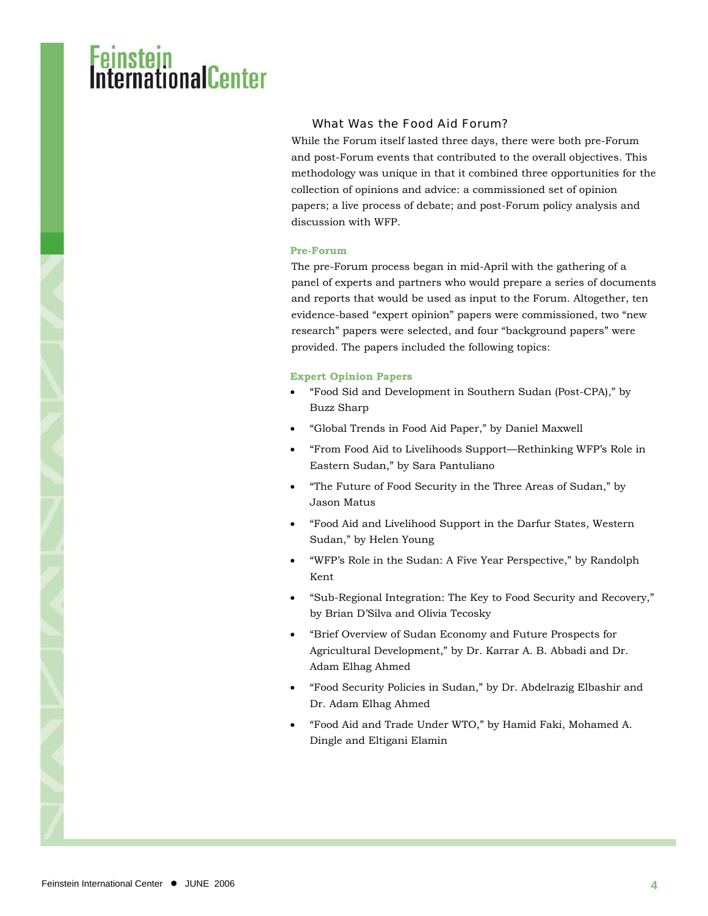## <mark>stein</mark><br>rnationalCenter

#### What Was the Food Aid Forum?

While the Forum itself lasted three days, there were both pre-Forum and post-Forum events that contributed to the overall objectives. This methodology was unique in that it combined three opportunities for the collection of opinions and advice: a commissioned set of opinion papers; a live process of debate; and post-Forum policy analysis and discussion with WFP.

#### **Pre-Forum**

The pre-Forum process began in mid-April with the gathering of a panel of experts and partners who would prepare a series of documents and reports that would be used as input to the Forum. Altogether, ten evidence-based "expert opinion" papers were commissioned, two "new research" papers were selected, and four "background papers" were provided. The papers included the following topics:

#### **Expert Opinion Papers**

- "Food Sid and Development in Southern Sudan (Post-CPA)," by Buzz Sharp
- "Global Trends in Food Aid Paper," by Daniel Maxwell
- "From Food Aid to Livelihoods Support—Rethinking WFP's Role in Eastern Sudan," by Sara Pantuliano
- "The Future of Food Security in the Three Areas of Sudan," by Jason Matus
- "Food Aid and Livelihood Support in the Darfur States, Western Sudan," by Helen Young
- "WFP's Role in the Sudan: A Five Year Perspective," by Randolph Kent
- "Sub-Regional Integration: The Key to Food Security and Recovery," by Brian D'Silva and Olivia Tecosky
- "Brief Overview of Sudan Economy and Future Prospects for Agricultural Development," by Dr. Karrar A. B. Abbadi and Dr. Adam Elhag Ahmed
- "Food Security Policies in Sudan," by Dr. Abdelrazig Elbashir and Dr. Adam Elhag Ahmed
- "Food Aid and Trade Under WTO," by Hamid Faki, Mohamed A. Dingle and Eltigani Elamin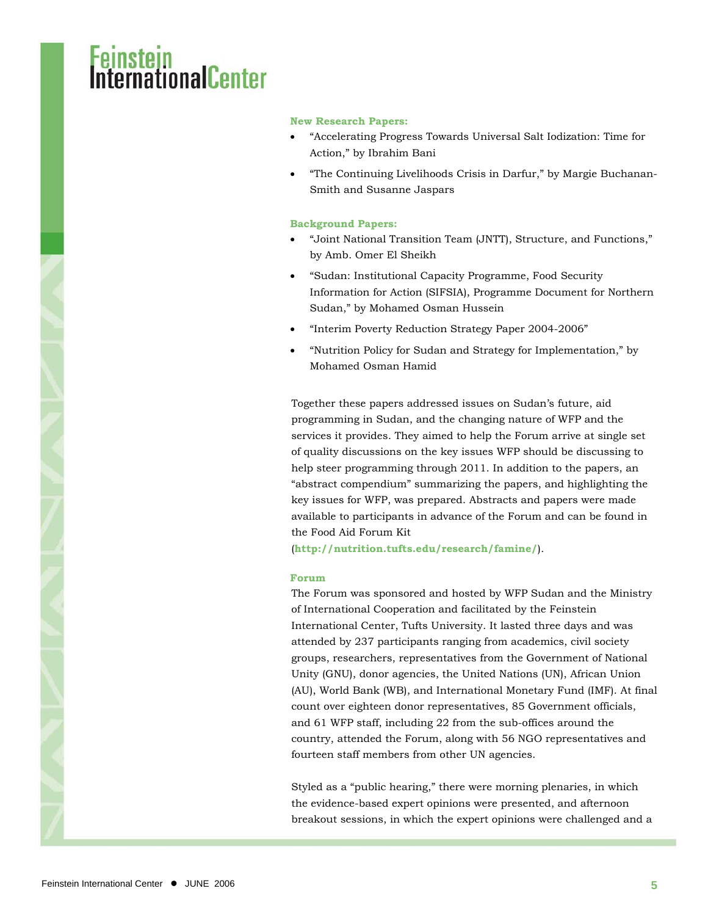#### **New Research Papers:**

- "Accelerating Progress Towards Universal Salt Iodization: Time for Action," by Ibrahim Bani
- "The Continuing Livelihoods Crisis in Darfur," by Margie Buchanan-Smith and Susanne Jaspars

#### **Background Papers:**

- "Joint National Transition Team (JNTT), Structure, and Functions," by Amb. Omer El Sheikh
- "Sudan: Institutional Capacity Programme, Food Security Information for Action (SIFSIA), Programme Document for Northern Sudan," by Mohamed Osman Hussein
- "Interim Poverty Reduction Strategy Paper 2004-2006"
- "Nutrition Policy for Sudan and Strategy for Implementation," by Mohamed Osman Hamid

Together these papers addressed issues on Sudan's future, aid programming in Sudan, and the changing nature of WFP and the services it provides. They aimed to help the Forum arrive at single set of quality discussions on the key issues WFP should be discussing to help steer programming through 2011. In addition to the papers, an "abstract compendium" summarizing the papers, and highlighting the key issues for WFP, was prepared. Abstracts and papers were made available to participants in advance of the Forum and can be found in the Food Aid Forum Kit

(**<http://nutrition.tufts.edu/research/famine/>**).

#### **Forum**

The Forum was sponsored and hosted by WFP Sudan and the Ministry of International Cooperation and facilitated by the Feinstein International Center, Tufts University. It lasted three days and was attended by 237 participants ranging from academics, civil society groups, researchers, representatives from the Government of National Unity (GNU), donor agencies, the United Nations (UN), African Union (AU), World Bank (WB), and International Monetary Fund (IMF). At final count over eighteen donor representatives, 85 Government officials, and 61 WFP staff, including 22 from the sub-offices around the country, attended the Forum, along with 56 NGO representatives and fourteen staff members from other UN agencies.

Styled as a "public hearing," there were morning plenaries, in which the evidence-based expert opinions were presented, and afternoon breakout sessions, in which the expert opinions were challenged and a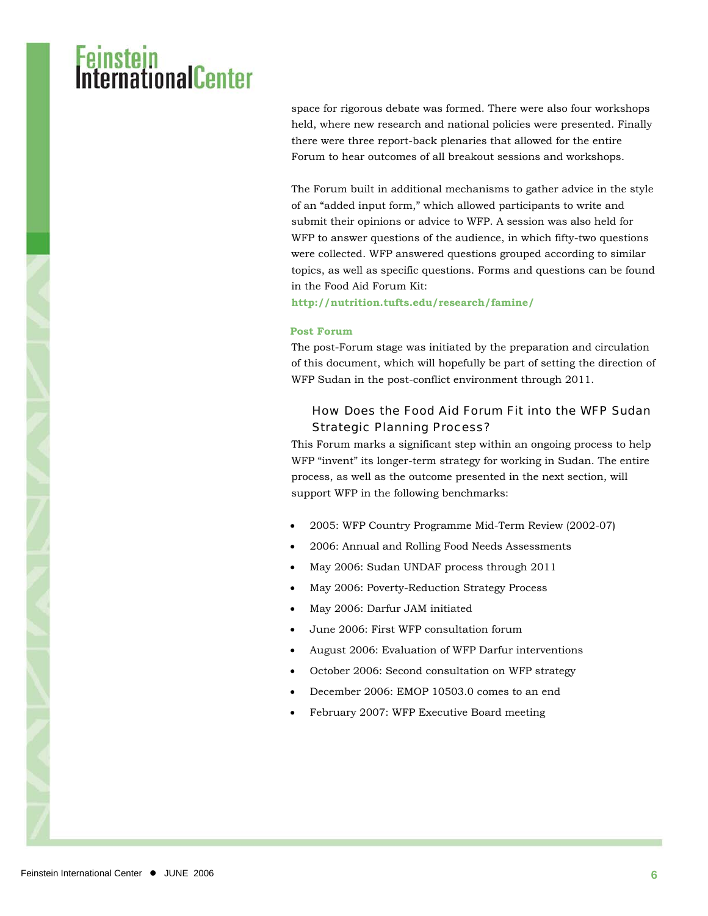space for rigorous debate was formed. There were also four workshops held, where new research and national policies were presented. Finally there were three report-back plenaries that allowed for the entire Forum to hear outcomes of all breakout sessions and workshops.

The Forum built in additional mechanisms to gather advice in the style of an "added input form," which allowed participants to write and submit their opinions or advice to WFP. A session was also held for WFP to answer questions of the audience, in which fifty-two questions were collected. WFP answered questions grouped according to similar topics, as well as specific questions. Forms and questions can be found in the Food Aid Forum Kit:

**<http://nutrition.tufts.edu/research/famine/>**

#### **Post Forum**

The post-Forum stage was initiated by the preparation and circulation of this document, which will hopefully be part of setting the direction of WFP Sudan in the post-conflict environment through 2011.

#### How Does the Food Aid Forum Fit into the WFP Sudan Strategic Planning Process?

This Forum marks a significant step within an ongoing process to help WFP "invent" its longer-term strategy for working in Sudan. The entire process, as well as the outcome presented in the next section, will support WFP in the following benchmarks:

- 2005: WFP Country Programme Mid-Term Review (2002-07)
- 2006: Annual and Rolling Food Needs Assessments
- May 2006: Sudan UNDAF process through 2011
- May 2006: Poverty-Reduction Strategy Process
- May 2006: Darfur JAM initiated
- June 2006: First WFP consultation forum
- August 2006: Evaluation of WFP Darfur interventions
- October 2006: Second consultation on WFP strategy
- December 2006: EMOP 10503.0 comes to an end
- February 2007: WFP Executive Board meeting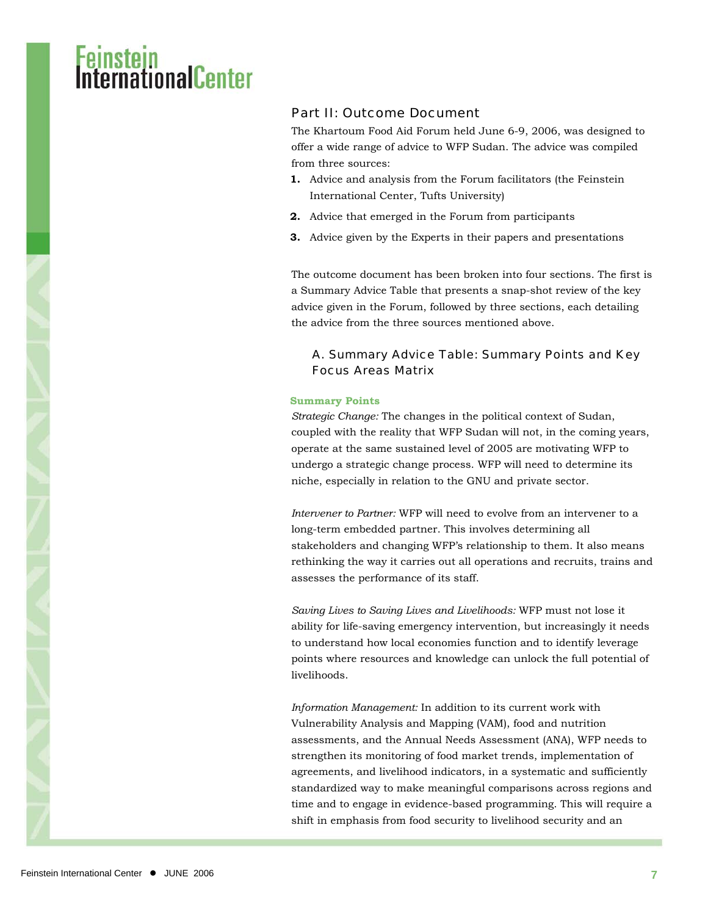### Part II: Outcome Document

The Khartoum Food Aid Forum held June 6-9, 2006, was designed to offer a wide range of advice to WFP Sudan. The advice was compiled from three sources:

- **1.** Advice and analysis from the Forum facilitators (the Feinstein International Center, Tufts University)
- **2.** Advice that emerged in the Forum from participants
- **3.** Advice given by the Experts in their papers and presentations

The outcome document has been broken into four sections. The first is a Summary Advice Table that presents a snap-shot review of the key advice given in the Forum, followed by three sections, each detailing the advice from the three sources mentioned above.

#### A. Summary Advice Table: Summary Points and Key Focus Areas Matrix

#### **Summary Points**

*Strategic Change:* The changes in the political context of Sudan, coupled with the reality that WFP Sudan will not, in the coming years, operate at the same sustained level of 2005 are motivating WFP to undergo a strategic change process. WFP will need to determine its niche, especially in relation to the GNU and private sector.

*Intervener to Partner:* WFP will need to evolve from an intervener to a long-term embedded partner. This involves determining all stakeholders and changing WFP's relationship to them. It also means rethinking the way it carries out all operations and recruits, trains and assesses the performance of its staff.

*Saving Lives to Saving Lives and Livelihoods:* WFP must not lose it ability for life-saving emergency intervention, but increasingly it needs to understand how local economies function and to identify leverage points where resources and knowledge can unlock the full potential of livelihoods.

*Information Management:* In addition to its current work with Vulnerability Analysis and Mapping (VAM), food and nutrition assessments, and the Annual Needs Assessment (ANA), WFP needs to strengthen its monitoring of food market trends, implementation of agreements, and livelihood indicators, in a systematic and sufficiently standardized way to make meaningful comparisons across regions and time and to engage in evidence-based programming. This will require a shift in emphasis from food security to livelihood security and an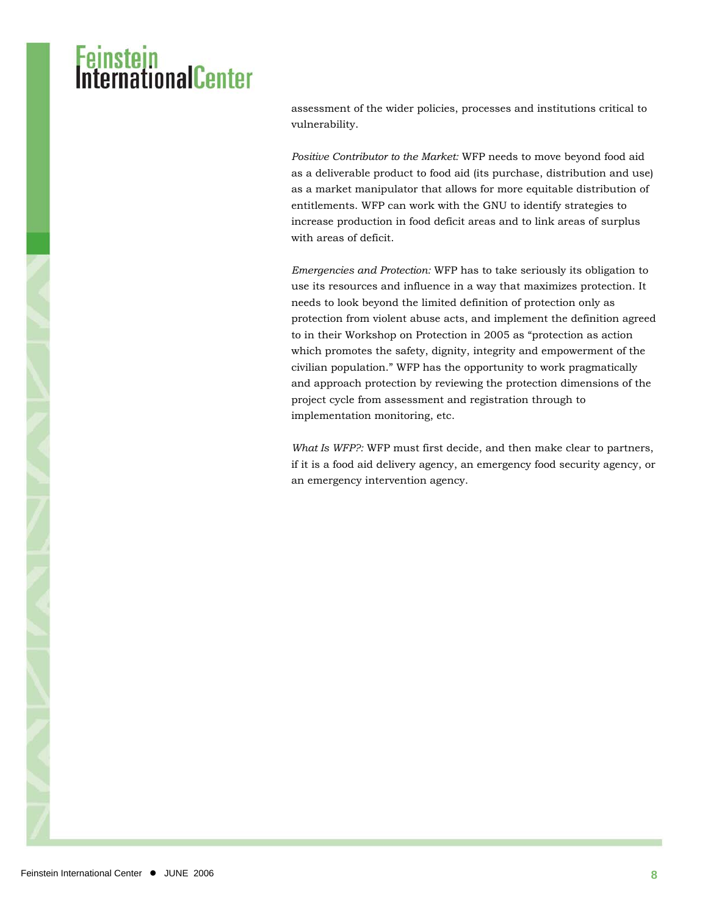assessment of the wider policies, processes and institutions critical to vulnerability.

*Positive Contributor to the Market:* WFP needs to move beyond food aid as a deliverable product to food aid (its purchase, distribution and use) as a market manipulator that allows for more equitable distribution of entitlements. WFP can work with the GNU to identify strategies to increase production in food deficit areas and to link areas of surplus with areas of deficit.

*Emergencies and Protection:* WFP has to take seriously its obligation to use its resources and influence in a way that maximizes protection. It needs to look beyond the limited definition of protection only as protection from violent abuse acts, and implement the definition agreed to in their Workshop on Protection in 2005 as "protection as action which promotes the safety, dignity, integrity and empowerment of the civilian population." WFP has the opportunity to work pragmatically and approach protection by reviewing the protection dimensions of the project cycle from assessment and registration through to implementation monitoring, etc.

*What Is WFP?:* WFP must first decide, and then make clear to partners, if it is a food aid delivery agency, an emergency food security agency, or an emergency intervention agency.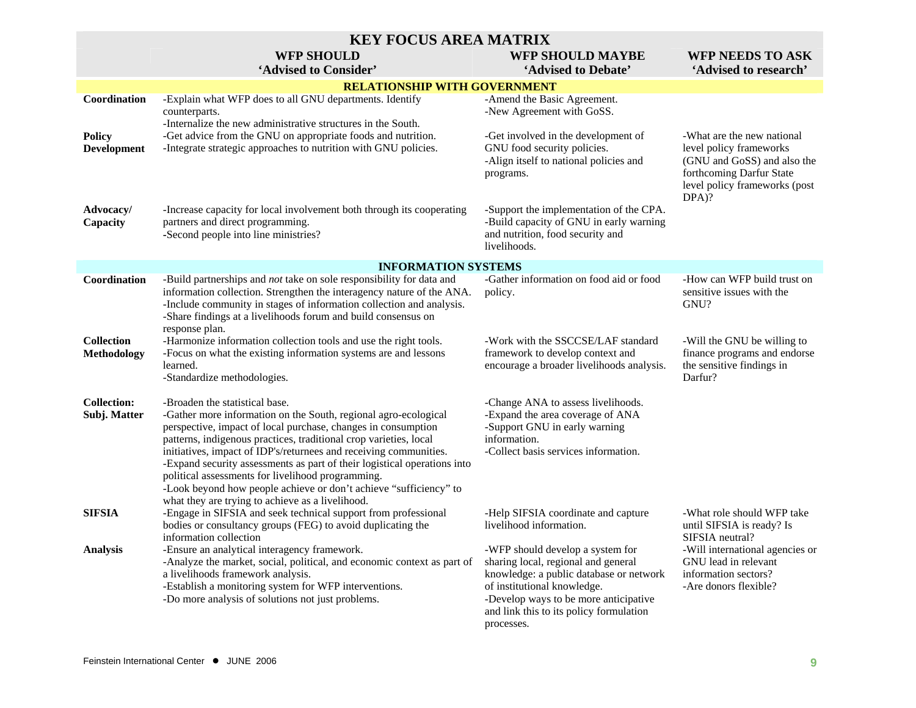|                                    | <b>KEY FOCUS AREA MATRIX</b>                                                                                                                                                                                                                                                                                                                                                                                                                                                                                                                                           |                                                                                                                                                                                                                                                     |                                                                                                                                                            |  |  |  |  |  |  |
|------------------------------------|------------------------------------------------------------------------------------------------------------------------------------------------------------------------------------------------------------------------------------------------------------------------------------------------------------------------------------------------------------------------------------------------------------------------------------------------------------------------------------------------------------------------------------------------------------------------|-----------------------------------------------------------------------------------------------------------------------------------------------------------------------------------------------------------------------------------------------------|------------------------------------------------------------------------------------------------------------------------------------------------------------|--|--|--|--|--|--|
|                                    | <b>WFP SHOULD</b>                                                                                                                                                                                                                                                                                                                                                                                                                                                                                                                                                      | <b>WFP SHOULD MAYBE</b>                                                                                                                                                                                                                             | <b>WFP NEEDS TO ASK</b>                                                                                                                                    |  |  |  |  |  |  |
|                                    | 'Advised to Consider'                                                                                                                                                                                                                                                                                                                                                                                                                                                                                                                                                  | 'Advised to Debate'                                                                                                                                                                                                                                 | 'Advised to research'                                                                                                                                      |  |  |  |  |  |  |
|                                    | <b>RELATIONSHIP WITH GOVERNMENT</b>                                                                                                                                                                                                                                                                                                                                                                                                                                                                                                                                    |                                                                                                                                                                                                                                                     |                                                                                                                                                            |  |  |  |  |  |  |
| Coordination                       | -Explain what WFP does to all GNU departments. Identify<br>counterparts.                                                                                                                                                                                                                                                                                                                                                                                                                                                                                               | -Amend the Basic Agreement.<br>-New Agreement with GoSS.                                                                                                                                                                                            |                                                                                                                                                            |  |  |  |  |  |  |
| <b>Policy</b><br>Development       | -Internalize the new administrative structures in the South.<br>-Get advice from the GNU on appropriate foods and nutrition.<br>-Integrate strategic approaches to nutrition with GNU policies.                                                                                                                                                                                                                                                                                                                                                                        | -Get involved in the development of<br>GNU food security policies.<br>-Align itself to national policies and<br>programs.                                                                                                                           | -What are the new national<br>level policy frameworks<br>(GNU and GoSS) and also the<br>forthcoming Darfur State<br>level policy frameworks (post<br>DPA)? |  |  |  |  |  |  |
| Advocacy/<br>Capacity              | -Increase capacity for local involvement both through its cooperating<br>partners and direct programming.<br>-Second people into line ministries?                                                                                                                                                                                                                                                                                                                                                                                                                      | -Support the implementation of the CPA.<br>-Build capacity of GNU in early warning<br>and nutrition, food security and<br>livelihoods.                                                                                                              |                                                                                                                                                            |  |  |  |  |  |  |
|                                    | <b>INFORMATION SYSTEMS</b>                                                                                                                                                                                                                                                                                                                                                                                                                                                                                                                                             |                                                                                                                                                                                                                                                     |                                                                                                                                                            |  |  |  |  |  |  |
| Coordination                       | -Build partnerships and not take on sole responsibility for data and<br>information collection. Strengthen the interagency nature of the ANA.<br>-Include community in stages of information collection and analysis.<br>-Share findings at a livelihoods forum and build consensus on<br>response plan.                                                                                                                                                                                                                                                               | -Gather information on food aid or food<br>policy.                                                                                                                                                                                                  | -How can WFP build trust on<br>sensitive issues with the<br>GNU?                                                                                           |  |  |  |  |  |  |
| <b>Collection</b><br>Methodology   | -Harmonize information collection tools and use the right tools.<br>-Focus on what the existing information systems are and lessons<br>learned.<br>-Standardize methodologies.                                                                                                                                                                                                                                                                                                                                                                                         | -Work with the SSCCSE/LAF standard<br>framework to develop context and<br>encourage a broader livelihoods analysis.                                                                                                                                 | -Will the GNU be willing to<br>finance programs and endorse<br>the sensitive findings in<br>Darfur?                                                        |  |  |  |  |  |  |
| <b>Collection:</b><br>Subj. Matter | -Broaden the statistical base.<br>-Gather more information on the South, regional agro-ecological<br>perspective, impact of local purchase, changes in consumption<br>patterns, indigenous practices, traditional crop varieties, local<br>initiatives, impact of IDP's/returnees and receiving communities.<br>-Expand security assessments as part of their logistical operations into<br>political assessments for livelihood programming.<br>-Look beyond how people achieve or don't achieve "sufficiency" to<br>what they are trying to achieve as a livelihood. | -Change ANA to assess livelihoods.<br>-Expand the area coverage of ANA<br>-Support GNU in early warning<br>information.<br>-Collect basis services information.                                                                                     |                                                                                                                                                            |  |  |  |  |  |  |
| <b>SIFSIA</b>                      | -Engage in SIFSIA and seek technical support from professional<br>bodies or consultancy groups (FEG) to avoid duplicating the<br>information collection                                                                                                                                                                                                                                                                                                                                                                                                                | -Help SIFSIA coordinate and capture<br>livelihood information.                                                                                                                                                                                      | -What role should WFP take<br>until SIFSIA is ready? Is<br>SIFSIA neutral?                                                                                 |  |  |  |  |  |  |
| <b>Analysis</b>                    | -Ensure an analytical interagency framework.<br>-Analyze the market, social, political, and economic context as part of<br>a livelihoods framework analysis.<br>-Establish a monitoring system for WFP interventions.<br>-Do more analysis of solutions not just problems.                                                                                                                                                                                                                                                                                             | -WFP should develop a system for<br>sharing local, regional and general<br>knowledge: a public database or network<br>of institutional knowledge.<br>-Develop ways to be more anticipative<br>and link this to its policy formulation<br>processes. | -Will international agencies or<br>GNU lead in relevant<br>information sectors?<br>-Are donors flexible?                                                   |  |  |  |  |  |  |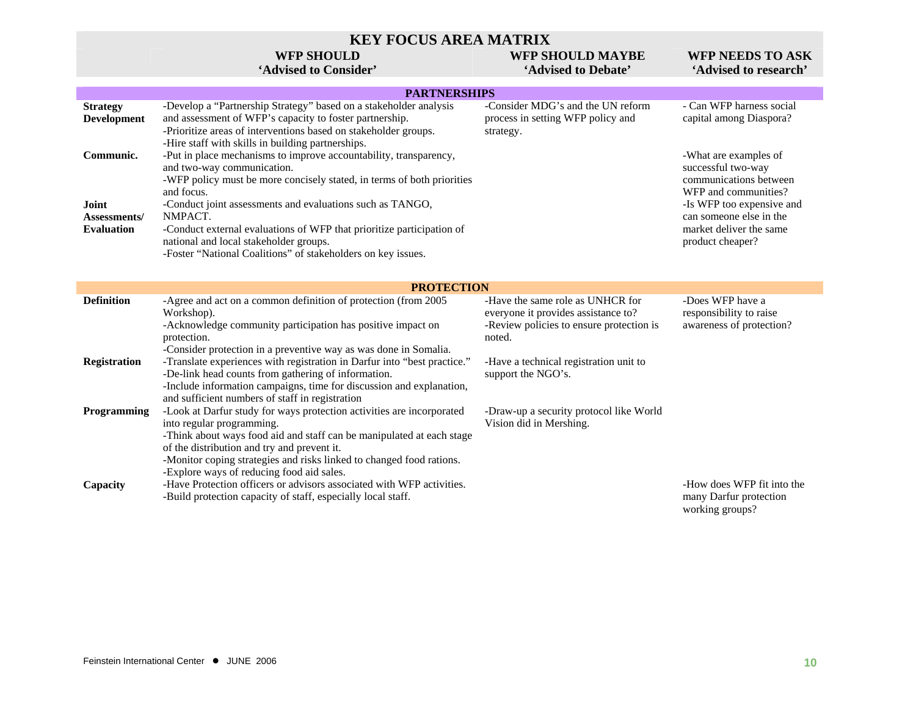#### **KEY FOCUS AREA MATRIX**

#### **WFP SHOULD**

#### **'Advised to Consider'**

### **WFP SHOULD MAYBE**

#### WFP NEEDS TO ASK **'Advised to Debate' 'Advised to research'**

|                                                                 | <b>PARTNERSHIPS</b>                                                                                                                                                                                                                                                                                                                                                                                                                                |                                                                                           |                                                                                                                                                                                                      |
|-----------------------------------------------------------------|----------------------------------------------------------------------------------------------------------------------------------------------------------------------------------------------------------------------------------------------------------------------------------------------------------------------------------------------------------------------------------------------------------------------------------------------------|-------------------------------------------------------------------------------------------|------------------------------------------------------------------------------------------------------------------------------------------------------------------------------------------------------|
| <b>Strategy</b><br>Development                                  | -Develop a "Partnership Strategy" based on a stakeholder analysis<br>and assessment of WFP's capacity to foster partnership.<br>-Prioritize areas of interventions based on stakeholder groups.<br>-Hire staff with skills in building partnerships.                                                                                                                                                                                               | -Consider MDG's and the UN reform<br>process in setting WFP policy and<br>strategy.       | - Can WFP harness social<br>capital among Diaspora?                                                                                                                                                  |
| Communic.<br>Joint<br><b>Assessments</b> /<br><b>Evaluation</b> | -Put in place mechanisms to improve accountability, transparency,<br>and two-way communication.<br>-WFP policy must be more concisely stated, in terms of both priorities<br>and focus.<br>-Conduct joint assessments and evaluations such as TANGO,<br>NMPACT.<br>-Conduct external evaluations of WFP that prioritize participation of<br>national and local stakeholder groups.<br>-Foster "National Coalitions" of stakeholders on key issues. |                                                                                           | -What are examples of<br>successful two-way<br>communications between<br>WFP and communities?<br>-Is WFP too expensive and<br>can someone else in the<br>market deliver the same<br>product cheaper? |
|                                                                 |                                                                                                                                                                                                                                                                                                                                                                                                                                                    |                                                                                           |                                                                                                                                                                                                      |
|                                                                 | <b>PROTECTION</b>                                                                                                                                                                                                                                                                                                                                                                                                                                  |                                                                                           |                                                                                                                                                                                                      |
| <b>Definition</b>                                               | -Agree and act on a common definition of protection (from 2005                                                                                                                                                                                                                                                                                                                                                                                     | -Have the same role as UNHCR for                                                          | -Does WFP have a                                                                                                                                                                                     |
|                                                                 | Workshop).<br>-Acknowledge community participation has positive impact on<br>protection.<br>-Consider protection in a preventive way as was done in Somalia.                                                                                                                                                                                                                                                                                       | everyone it provides assistance to?<br>-Review policies to ensure protection is<br>noted. | responsibility to raise<br>awareness of protection?                                                                                                                                                  |
| <b>Registration</b>                                             | -Translate experiences with registration in Darfur into "best practice."<br>-De-link head counts from gathering of information.<br>-Include information campaigns, time for discussion and explanation,<br>and sufficient numbers of staff in registration                                                                                                                                                                                         | -Have a technical registration unit to<br>support the NGO's.                              |                                                                                                                                                                                                      |
| <b>Programming</b>                                              | -Look at Darfur study for ways protection activities are incorporated<br>into regular programming.<br>-Think about ways food aid and staff can be manipulated at each stage<br>of the distribution and try and prevent it.<br>-Monitor coping strategies and risks linked to changed food rations.<br>-Explore ways of reducing food aid sales.                                                                                                    | -Draw-up a security protocol like World<br>Vision did in Mershing.                        |                                                                                                                                                                                                      |
| Capacity                                                        | -Have Protection officers or advisors associated with WFP activities.<br>-Build protection capacity of staff, especially local staff.                                                                                                                                                                                                                                                                                                              |                                                                                           | -How does WFP fit into the<br>many Darfur protection<br>working groups?                                                                                                                              |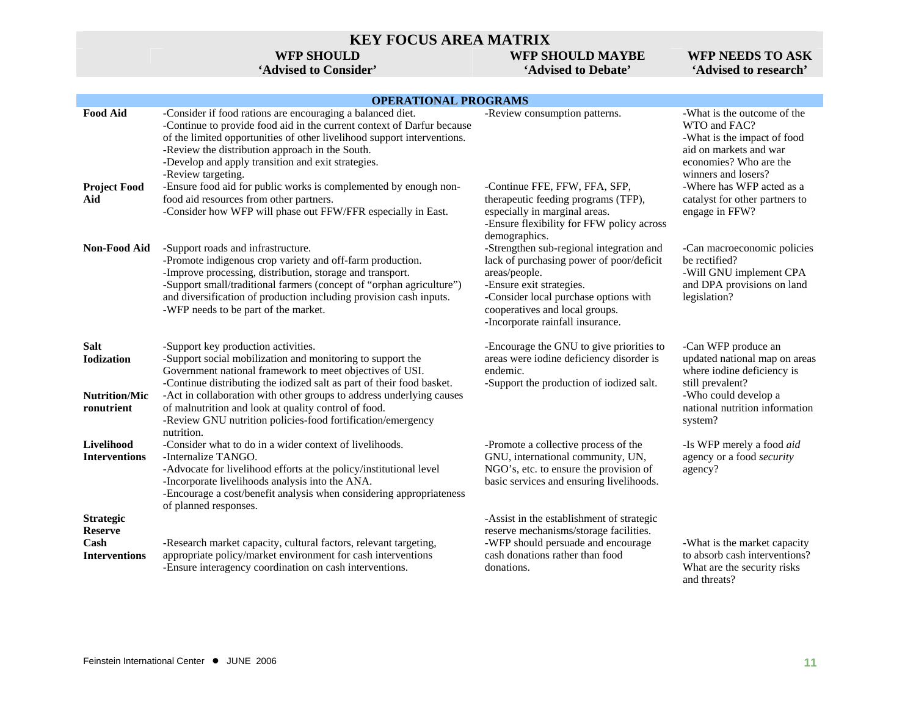### **KEY FOCUS AREA MATRIX**

#### **WFP SHOULD**

#### **'Advised to Consider'**

### **WFP SHOULD MAYBE**

**'Advised to Debate'** 

#### **WFP NEEDS TO ASK 'Advised to research'**

#### **OPERATIONAL PROGRAMS**

|                                                                        | 21 <b>ERITIONIA</b> INCONTRU                                                                                                                                                                                                                                                                                                                                                                                                                                                                                                  |                                                                                                                                                                                                                                                                                                                |                                                                                                                                                                                                                                        |
|------------------------------------------------------------------------|-------------------------------------------------------------------------------------------------------------------------------------------------------------------------------------------------------------------------------------------------------------------------------------------------------------------------------------------------------------------------------------------------------------------------------------------------------------------------------------------------------------------------------|----------------------------------------------------------------------------------------------------------------------------------------------------------------------------------------------------------------------------------------------------------------------------------------------------------------|----------------------------------------------------------------------------------------------------------------------------------------------------------------------------------------------------------------------------------------|
| <b>Food Aid</b><br><b>Project Food</b><br>Aid                          | -Consider if food rations are encouraging a balanced diet.<br>-Continue to provide food aid in the current context of Darfur because<br>of the limited opportunities of other livelihood support interventions.<br>-Review the distribution approach in the South.<br>-Develop and apply transition and exit strategies.<br>-Review targeting.<br>-Ensure food aid for public works is complemented by enough non-<br>food aid resources from other partners.<br>-Consider how WFP will phase out FFW/FFR especially in East. | -Review consumption patterns.<br>-Continue FFE, FFW, FFA, SFP,<br>therapeutic feeding programs (TFP),<br>especially in marginal areas.                                                                                                                                                                         | -What is the outcome of the<br>WTO and FAC?<br>-What is the impact of food<br>aid on markets and war<br>economies? Who are the<br>winners and losers?<br>-Where has WFP acted as a<br>catalyst for other partners to<br>engage in FFW? |
| <b>Non-Food Aid</b>                                                    | -Support roads and infrastructure.<br>-Promote indigenous crop variety and off-farm production.<br>-Improve processing, distribution, storage and transport.<br>-Support small/traditional farmers (concept of "orphan agriculture")<br>and diversification of production including provision cash inputs.<br>-WFP needs to be part of the market.                                                                                                                                                                            | -Ensure flexibility for FFW policy across<br>demographics.<br>-Strengthen sub-regional integration and<br>lack of purchasing power of poor/deficit<br>areas/people.<br>-Ensure exit strategies.<br>-Consider local purchase options with<br>cooperatives and local groups.<br>-Incorporate rainfall insurance. | -Can macroeconomic policies<br>be rectified?<br>-Will GNU implement CPA<br>and DPA provisions on land<br>legislation?                                                                                                                  |
| <b>Salt</b><br><b>Iodization</b><br><b>Nutrition/Mic</b><br>ronutrient | -Support key production activities.<br>-Support social mobilization and monitoring to support the<br>Government national framework to meet objectives of USI.<br>-Continue distributing the iodized salt as part of their food basket.<br>-Act in collaboration with other groups to address underlying causes<br>of malnutrition and look at quality control of food.<br>-Review GNU nutrition policies-food fortification/emergency<br>nutrition.                                                                           | -Encourage the GNU to give priorities to<br>areas were iodine deficiency disorder is<br>endemic.<br>-Support the production of iodized salt.                                                                                                                                                                   | -Can WFP produce an<br>updated national map on areas<br>where iodine deficiency is<br>still prevalent?<br>-Who could develop a<br>national nutrition information<br>system?                                                            |
| Livelihood<br><b>Interventions</b>                                     | -Consider what to do in a wider context of livelihoods.<br>-Internalize TANGO.<br>-Advocate for livelihood efforts at the policy/institutional level<br>-Incorporate livelihoods analysis into the ANA.<br>-Encourage a cost/benefit analysis when considering appropriateness<br>of planned responses.                                                                                                                                                                                                                       | -Promote a collective process of the<br>GNU, international community, UN,<br>NGO's, etc. to ensure the provision of<br>basic services and ensuring livelihoods.                                                                                                                                                | -Is WFP merely a food aid<br>agency or a food security<br>agency?                                                                                                                                                                      |
| <b>Strategic</b><br><b>Reserve</b><br>Cash<br><b>Interventions</b>     | -Research market capacity, cultural factors, relevant targeting,<br>appropriate policy/market environment for cash interventions<br>-Ensure interagency coordination on cash interventions.                                                                                                                                                                                                                                                                                                                                   | -Assist in the establishment of strategic<br>reserve mechanisms/storage facilities.<br>-WFP should persuade and encourage<br>cash donations rather than food<br>donations.                                                                                                                                     | -What is the market capacity<br>to absorb cash interventions?<br>What are the security risks<br>and threats?                                                                                                                           |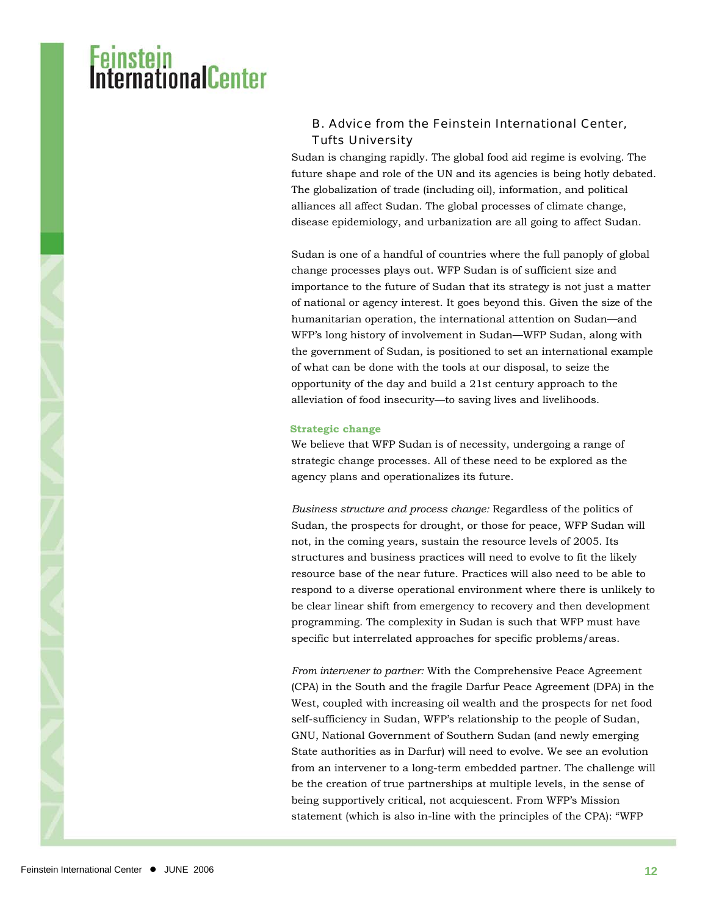## <mark>Instein</mark><br>IernafionalCenter

#### B. Advice from the Feinstein International Center, Tufts University

Sudan is changing rapidly. The global food aid regime is evolving. The future shape and role of the UN and its agencies is being hotly debated. The globalization of trade (including oil), information, and political alliances all affect Sudan. The global processes of climate change, disease epidemiology, and urbanization are all going to affect Sudan.

Sudan is one of a handful of countries where the full panoply of global change processes plays out. WFP Sudan is of sufficient size and importance to the future of Sudan that its strategy is not just a matter of national or agency interest. It goes beyond this. Given the size of the humanitarian operation, the international attention on Sudan—and WFP's long history of involvement in Sudan—WFP Sudan, along with the government of Sudan, is positioned to set an international example of what can be done with the tools at our disposal, to seize the opportunity of the day and build a 21st century approach to the alleviation of food insecurity—to saving lives and livelihoods.

#### **Strategic change**

We believe that WFP Sudan is of necessity, undergoing a range of strategic change processes. All of these need to be explored as the agency plans and operationalizes its future.

*Business structure and process change:* Regardless of the politics of Sudan, the prospects for drought, or those for peace, WFP Sudan will not, in the coming years, sustain the resource levels of 2005. Its structures and business practices will need to evolve to fit the likely resource base of the near future. Practices will also need to be able to respond to a diverse operational environment where there is unlikely to be clear linear shift from emergency to recovery and then development programming. The complexity in Sudan is such that WFP must have specific but interrelated approaches for specific problems/areas.

*From intervener to partner:* With the Comprehensive Peace Agreement (CPA) in the South and the fragile Darfur Peace Agreement (DPA) in the West, coupled with increasing oil wealth and the prospects for net food self-sufficiency in Sudan, WFP's relationship to the people of Sudan, GNU, National Government of Southern Sudan (and newly emerging State authorities as in Darfur) will need to evolve. We see an evolution from an intervener to a long-term embedded partner. The challenge will be the creation of true partnerships at multiple levels, in the sense of being supportively critical, not acquiescent. From WFP's Mission statement (which is also in-line with the principles of the CPA): "WFP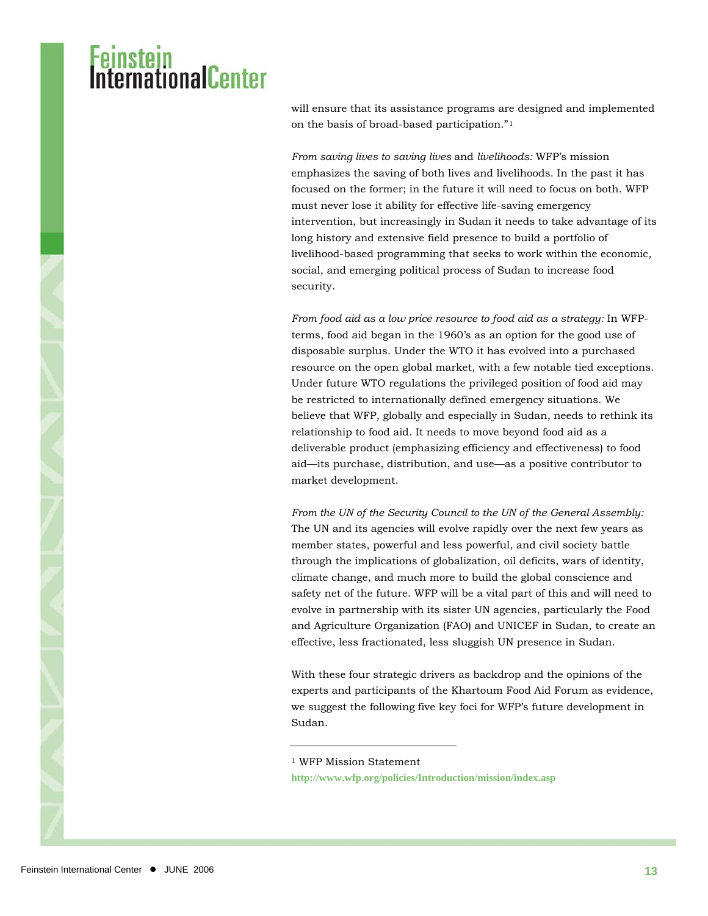### i<mark>nstein</mark><br>ernationalCenter

will ensure that its assistance programs are designed and implemented on the basis of broad-based participation."[1](#page-12-0)

*From saving lives to saving lives* and *livelihoods:* WFP's mission emphasizes the saving of both lives and livelihoods. In the past it has focused on the former; in the future it will need to focus on both. WFP must never lose it ability for effective life-saving emergency intervention, but increasingly in Sudan it needs to take advantage of its long history and extensive field presence to build a portfolio of livelihood-based programming that seeks to work within the economic, social, and emerging political process of Sudan to increase food security.

*From food aid as a low price resource to food aid as a strategy:* In WFPterms, food aid began in the 1960's as an option for the good use of disposable surplus. Under the WTO it has evolved into a purchased resource on the open global market, with a few notable tied exceptions. Under future WTO regulations the privileged position of food aid may be restricted to internationally defined emergency situations. We believe that WFP, globally and especially in Sudan, needs to rethink its relationship to food aid. It needs to move beyond food aid as a deliverable product (emphasizing efficiency and effectiveness) to food aid—its purchase, distribution, and use—as a positive contributor to market development.

*From the UN of the Security Council to the UN of the General Assembly:* The UN and its agencies will evolve rapidly over the next few years as member states, powerful and less powerful, and civil society battle through the implications of globalization, oil deficits, wars of identity, climate change, and much more to build the global conscience and safety net of the future. WFP will be a vital part of this and will need to evolve in partnership with its sister UN agencies, particularly the Food and Agriculture Organization (FAO) and UNICEF in Sudan, to create an effective, less fractionated, less sluggish UN presence in Sudan.

With these four strategic drivers as backdrop and the opinions of the experts and participants of the Khartoum Food Aid Forum as evidence, we suggest the following five key foci for WFP's future development in Sudan.

<span id="page-12-0"></span>1 WFP Mission Statement

 $\overline{a}$ 

**<http://www.wfp.org/policies/Introduction/mission/index.asp>**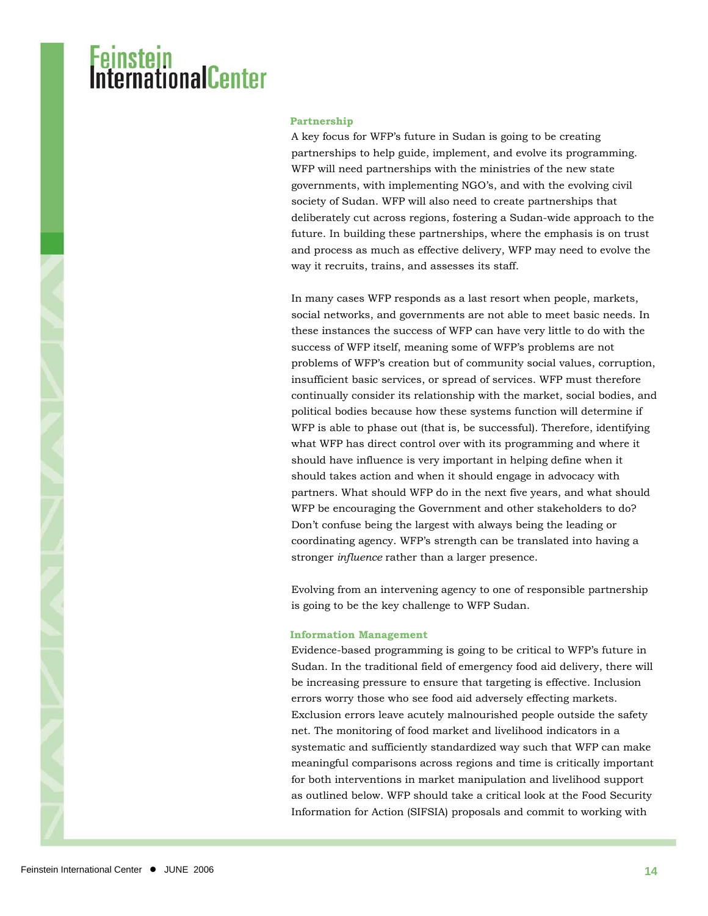#### **Partnership**

A key focus for WFP's future in Sudan is going to be creating partnerships to help guide, implement, and evolve its programming. WFP will need partnerships with the ministries of the new state governments, with implementing NGO's, and with the evolving civil society of Sudan. WFP will also need to create partnerships that deliberately cut across regions, fostering a Sudan-wide approach to the future. In building these partnerships, where the emphasis is on trust and process as much as effective delivery, WFP may need to evolve the way it recruits, trains, and assesses its staff.

In many cases WFP responds as a last resort when people, markets, social networks, and governments are not able to meet basic needs. In these instances the success of WFP can have very little to do with the success of WFP itself, meaning some of WFP's problems are not problems of WFP's creation but of community social values, corruption, insufficient basic services, or spread of services. WFP must therefore continually consider its relationship with the market, social bodies, and political bodies because how these systems function will determine if WFP is able to phase out (that is, be successful). Therefore, identifying what WFP has direct control over with its programming and where it should have influence is very important in helping define when it should takes action and when it should engage in advocacy with partners. What should WFP do in the next five years, and what should WFP be encouraging the Government and other stakeholders to do? Don't confuse being the largest with always being the leading or coordinating agency. WFP's strength can be translated into having a stronger *influence* rather than a larger presence.

Evolving from an intervening agency to one of responsible partnership is going to be the key challenge to WFP Sudan.

#### **Information Management**

Evidence-based programming is going to be critical to WFP's future in Sudan. In the traditional field of emergency food aid delivery, there will be increasing pressure to ensure that targeting is effective. Inclusion errors worry those who see food aid adversely effecting markets. Exclusion errors leave acutely malnourished people outside the safety net. The monitoring of food market and livelihood indicators in a systematic and sufficiently standardized way such that WFP can make meaningful comparisons across regions and time is critically important for both interventions in market manipulation and livelihood support as outlined below. WFP should take a critical look at the Food Security Information for Action (SIFSIA) proposals and commit to working with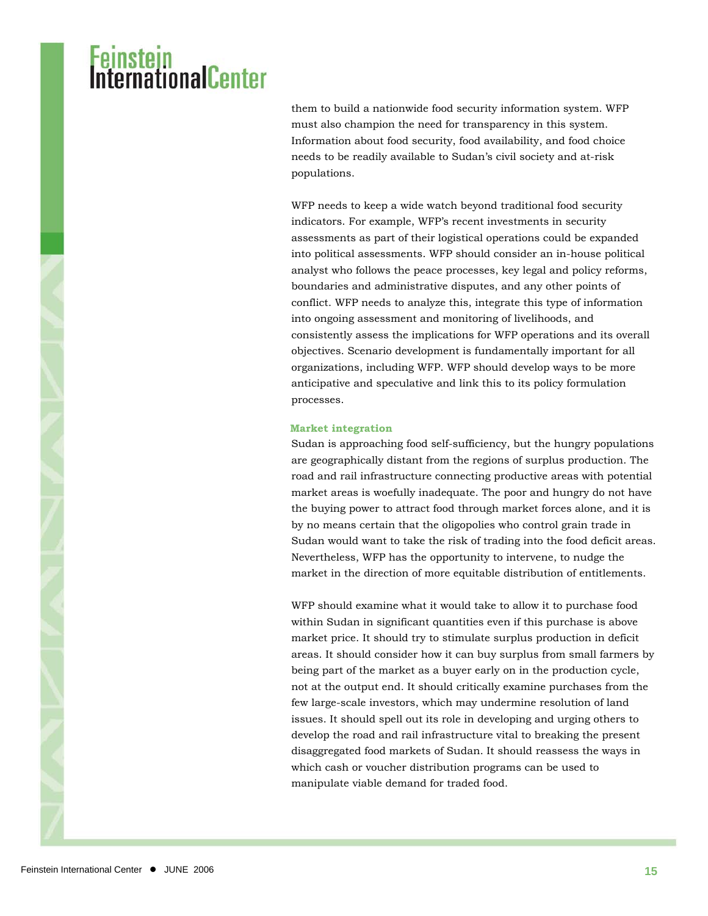### i**nstein**<br>fernationalCenter

them to build a nationwide food security information system. WFP must also champion the need for transparency in this system. Information about food security, food availability, and food choice needs to be readily available to Sudan's civil society and at-risk populations.

WFP needs to keep a wide watch beyond traditional food security indicators. For example, WFP's recent investments in security assessments as part of their logistical operations could be expanded into political assessments. WFP should consider an in-house political analyst who follows the peace processes, key legal and policy reforms, boundaries and administrative disputes, and any other points of conflict. WFP needs to analyze this, integrate this type of information into ongoing assessment and monitoring of livelihoods, and consistently assess the implications for WFP operations and its overall objectives. Scenario development is fundamentally important for all organizations, including WFP. WFP should develop ways to be more anticipative and speculative and link this to its policy formulation processes.

#### **Market integration**

Sudan is approaching food self-sufficiency, but the hungry populations are geographically distant from the regions of surplus production. The road and rail infrastructure connecting productive areas with potential market areas is woefully inadequate. The poor and hungry do not have the buying power to attract food through market forces alone, and it is by no means certain that the oligopolies who control grain trade in Sudan would want to take the risk of trading into the food deficit areas. Nevertheless, WFP has the opportunity to intervene, to nudge the market in the direction of more equitable distribution of entitlements.

WFP should examine what it would take to allow it to purchase food within Sudan in significant quantities even if this purchase is above market price. It should try to stimulate surplus production in deficit areas. It should consider how it can buy surplus from small farmers by being part of the market as a buyer early on in the production cycle, not at the output end. It should critically examine purchases from the few large-scale investors, which may undermine resolution of land issues. It should spell out its role in developing and urging others to develop the road and rail infrastructure vital to breaking the present disaggregated food markets of Sudan. It should reassess the ways in which cash or voucher distribution programs can be used to manipulate viable demand for traded food.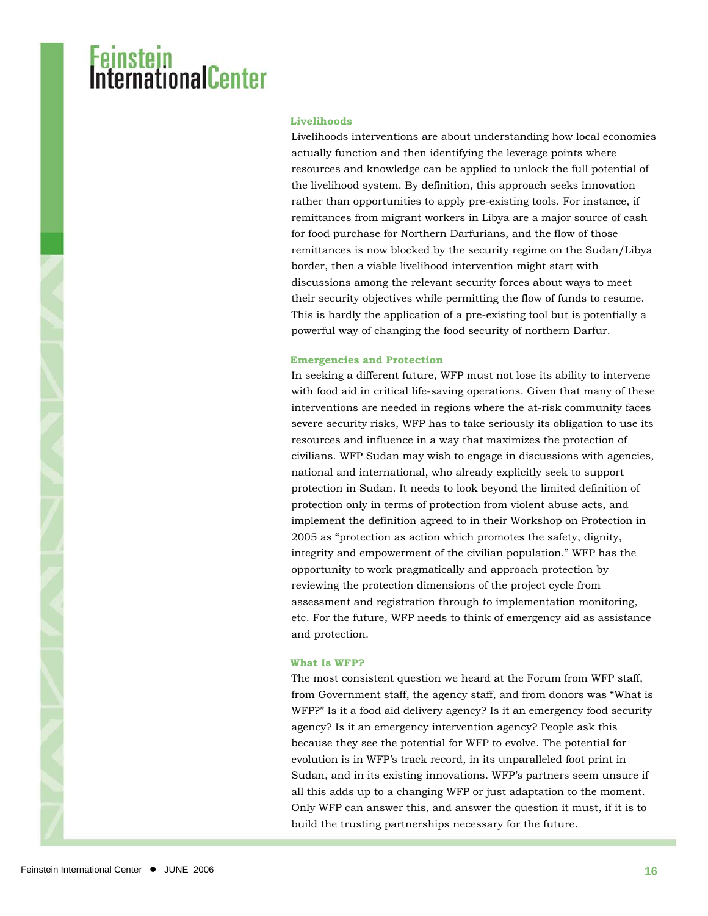#### **Livelihoods**

Livelihoods interventions are about understanding how local economies actually function and then identifying the leverage points where resources and knowledge can be applied to unlock the full potential of the livelihood system. By definition, this approach seeks innovation rather than opportunities to apply pre-existing tools. For instance, if remittances from migrant workers in Libya are a major source of cash for food purchase for Northern Darfurians, and the flow of those remittances is now blocked by the security regime on the Sudan/Libya border, then a viable livelihood intervention might start with discussions among the relevant security forces about ways to meet their security objectives while permitting the flow of funds to resume. This is hardly the application of a pre-existing tool but is potentially a powerful way of changing the food security of northern Darfur.

#### **Emergencies and Protection**

In seeking a different future, WFP must not lose its ability to intervene with food aid in critical life-saving operations. Given that many of these interventions are needed in regions where the at-risk community faces severe security risks, WFP has to take seriously its obligation to use its resources and influence in a way that maximizes the protection of civilians. WFP Sudan may wish to engage in discussions with agencies, national and international, who already explicitly seek to support protection in Sudan. It needs to look beyond the limited definition of protection only in terms of protection from violent abuse acts, and implement the definition agreed to in their Workshop on Protection in 2005 as "protection as action which promotes the safety, dignity, integrity and empowerment of the civilian population." WFP has the opportunity to work pragmatically and approach protection by reviewing the protection dimensions of the project cycle from assessment and registration through to implementation monitoring, etc. For the future, WFP needs to think of emergency aid as assistance and protection.

#### **What Is WFP?**

The most consistent question we heard at the Forum from WFP staff, from Government staff, the agency staff, and from donors was "What is WFP?" Is it a food aid delivery agency? Is it an emergency food security agency? Is it an emergency intervention agency? People ask this because they see the potential for WFP to evolve. The potential for evolution is in WFP's track record, in its unparalleled foot print in Sudan, and in its existing innovations. WFP's partners seem unsure if all this adds up to a changing WFP or just adaptation to the moment. Only WFP can answer this, and answer the question it must, if it is to build the trusting partnerships necessary for the future.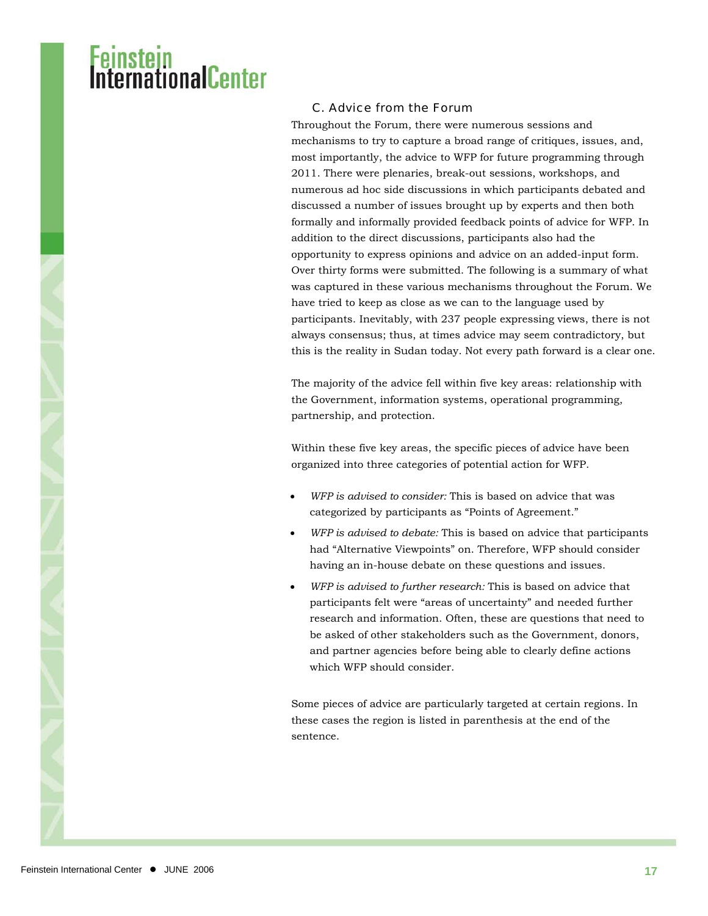### I<mark>nstein</mark><br>ernationalCenter

#### C. Advice from the Forum

Throughout the Forum, there were numerous sessions and mechanisms to try to capture a broad range of critiques, issues, and, most importantly, the advice to WFP for future programming through 2011. There were plenaries, break-out sessions, workshops, and numerous ad hoc side discussions in which participants debated and discussed a number of issues brought up by experts and then both formally and informally provided feedback points of advice for WFP. In addition to the direct discussions, participants also had the opportunity to express opinions and advice on an added-input form. Over thirty forms were submitted. The following is a summary of what was captured in these various mechanisms throughout the Forum. We have tried to keep as close as we can to the language used by participants. Inevitably, with 237 people expressing views, there is not always consensus; thus, at times advice may seem contradictory, but this is the reality in Sudan today. Not every path forward is a clear one.

The majority of the advice fell within five key areas: relationship with the Government, information systems, operational programming, partnership, and protection.

Within these five key areas, the specific pieces of advice have been organized into three categories of potential action for WFP.

- *WFP is advised to consider:* This is based on advice that was categorized by participants as "Points of Agreement."
- *WFP is advised to debate:* This is based on advice that participants had "Alternative Viewpoints" on. Therefore, WFP should consider having an in-house debate on these questions and issues.
- *WFP is advised to further research:* This is based on advice that participants felt were "areas of uncertainty" and needed further research and information. Often, these are questions that need to be asked of other stakeholders such as the Government, donors, and partner agencies before being able to clearly define actions which WFP should consider.

Some pieces of advice are particularly targeted at certain regions. In these cases the region is listed in parenthesis at the end of the sentence.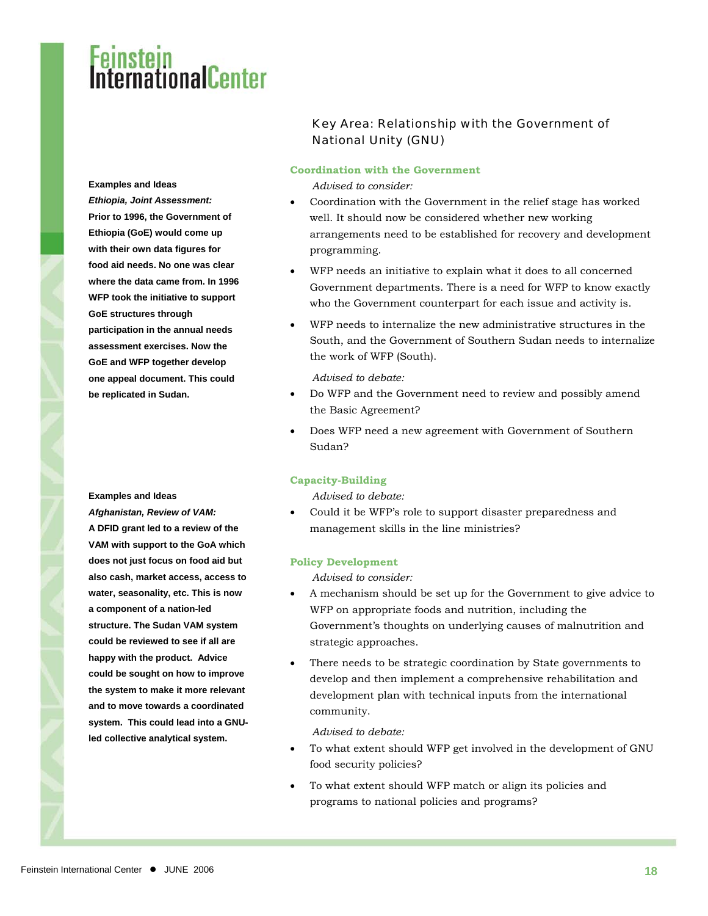**Examples and Ideas** 

*Ethiopia, Joint Assessment:* **Prior to 1996, the Government of Ethiopia (GoE) would come up with their own data figures for food aid needs. No one was clear where the data came from. In 1996 WFP took the initiative to support GoE structures through participation in the annual needs assessment exercises. Now the GoE and WFP together develop one appeal document. This could be replicated in Sudan.**

*Afghanistan, Review of VAM:*  **A DFID grant led to a review of the VAM with support to the GoA which does not just focus on food aid but also cash, market access, access to water, seasonality, etc. This is now a component of a nation-led structure. The Sudan VAM system could be reviewed to see if all are happy with the product. Advice could be sought on how to improve the system to make it more relevant and to move towards a coordinated system. This could lead into a GNUled collective analytical system.** 

#### Key Area: Relationship with the Government of National Unity (GNU)

#### **Coordination with the Government**

*Advised to consider:* 

- Coordination with the Government in the relief stage has worked well. It should now be considered whether new working arrangements need to be established for recovery and development programming.
- WFP needs an initiative to explain what it does to all concerned Government departments. There is a need for WFP to know exactly who the Government counterpart for each issue and activity is.
- WFP needs to internalize the new administrative structures in the South, and the Government of Southern Sudan needs to internalize the work of WFP (South).

*Advised to debate:* 

- Do WFP and the Government need to review and possibly amend the Basic Agreement?
- Does WFP need a new agreement with Government of Southern Sudan?

#### **Capacity-Building**

**Examples and Ideas** *Advised to debate:* 

• Could it be WFP's role to support disaster preparedness and management skills in the line ministries?

#### **Policy Development**

*Advised to consider:* 

- A mechanism should be set up for the Government to give advice to WFP on appropriate foods and nutrition, including the Government's thoughts on underlying causes of malnutrition and strategic approaches.
- There needs to be strategic coordination by State governments to develop and then implement a comprehensive rehabilitation and development plan with technical inputs from the international community.

*Advised to debate:* 

- To what extent should WFP get involved in the development of GNU food security policies?
- To what extent should WFP match or align its policies and programs to national policies and programs?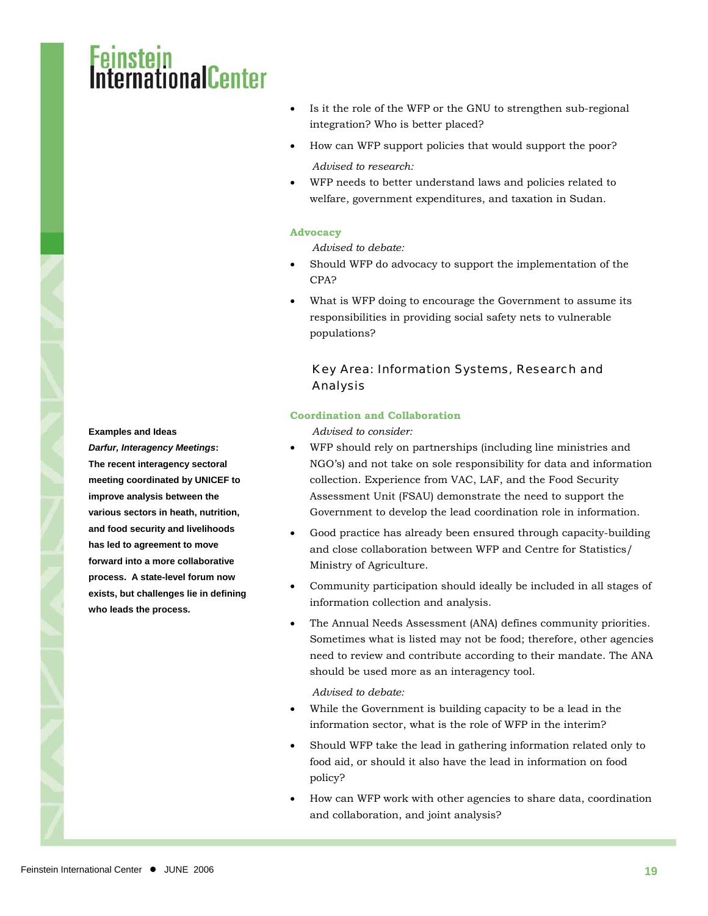### rnationalCenter

- Is it the role of the WFP or the GNU to strengthen sub-regional integration? Who is better placed?
- How can WFP support policies that would support the poor? *Advised to research:*
- WFP needs to better understand laws and policies related to welfare, government expenditures, and taxation in Sudan.

#### **Advocacy**

*Advised to debate:* 

- Should WFP do advocacy to support the implementation of the CPA?
- What is WFP doing to encourage the Government to assume its responsibilities in providing social safety nets to vulnerable populations?

#### Key Area: Information Systems, Research and Analysis

#### **Coordination and Collaboration**

**Examples and Ideas** *Advised to consider:* 

- WFP should rely on partnerships (including line ministries and NGO's) and not take on sole responsibility for data and information collection. Experience from VAC, LAF, and the Food Security Assessment Unit (FSAU) demonstrate the need to support the Government to develop the lead coordination role in information.
- Good practice has already been ensured through capacity-building and close collaboration between WFP and Centre for Statistics/ Ministry of Agriculture.
- Community participation should ideally be included in all stages of information collection and analysis.
- The Annual Needs Assessment (ANA) defines community priorities. Sometimes what is listed may not be food; therefore, other agencies need to review and contribute according to their mandate. The ANA should be used more as an interagency tool.

*Advised to debate:* 

- While the Government is building capacity to be a lead in the information sector, what is the role of WFP in the interim?
- Should WFP take the lead in gathering information related only to food aid, or should it also have the lead in information on food policy?
- How can WFP work with other agencies to share data, coordination and collaboration, and joint analysis?

*Darfur, Interagency Meetings***: The recent interagency sectoral meeting coordinated by UNICEF to improve analysis between the various sectors in heath, nutrition, and food security and livelihoods has led to agreement to move forward into a more collaborative process. A state-level forum now exists, but challenges lie in defining who leads the process.**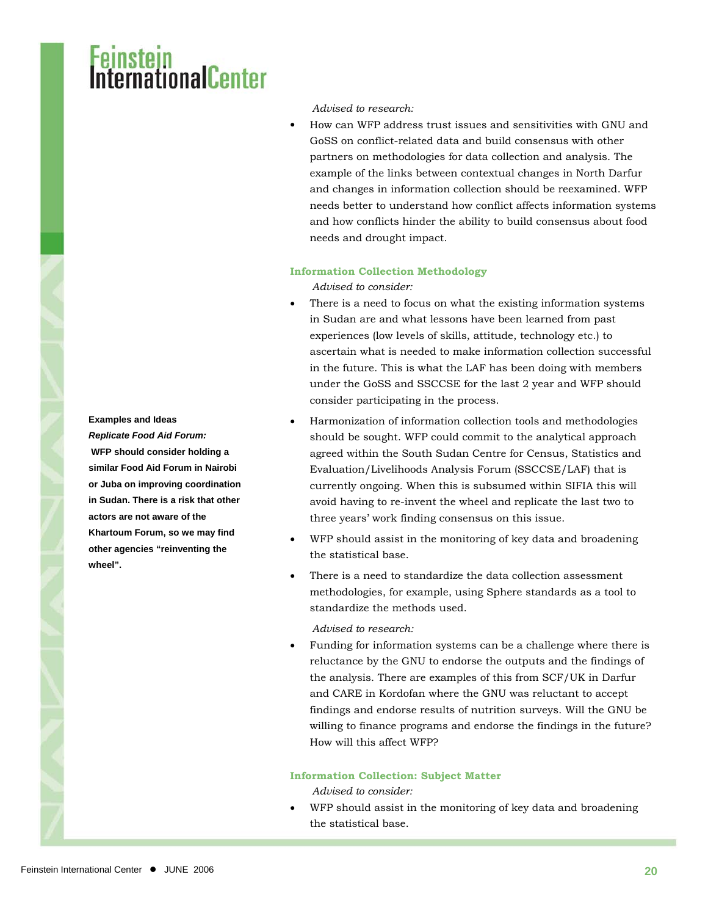## I<mark>nstein</mark><br>ernationalCenter

#### *Advised to research:*

• How can WFP address trust issues and sensitivities with GNU and GoSS on conflict-related data and build consensus with other partners on methodologies for data collection and analysis. The example of the links between contextual changes in North Darfur and changes in information collection should be reexamined. WFP needs better to understand how conflict affects information systems and how conflicts hinder the ability to build consensus about food needs and drought impact.

#### **Information Collection Methodology**

*Advised to consider:* 

- There is a need to focus on what the existing information systems in Sudan are and what lessons have been learned from past experiences (low levels of skills, attitude, technology etc.) to ascertain what is needed to make information collection successful in the future. This is what the LAF has been doing with members under the GoSS and SSCCSE for the last 2 year and WFP should consider participating in the process.
- Harmonization of information collection tools and methodologies should be sought. WFP could commit to the analytical approach agreed within the South Sudan Centre for Census, Statistics and Evaluation/Livelihoods Analysis Forum (SSCCSE/LAF) that is currently ongoing. When this is subsumed within SIFIA this will avoid having to re-invent the wheel and replicate the last two to three years' work finding consensus on this issue.
- WFP should assist in the monitoring of key data and broadening the statistical base.
- There is a need to standardize the data collection assessment methodologies, for example, using Sphere standards as a tool to standardize the methods used.

*Advised to research:* 

• Funding for information systems can be a challenge where there is reluctance by the GNU to endorse the outputs and the findings of the analysis. There are examples of this from SCF/UK in Darfur and CARE in Kordofan where the GNU was reluctant to accept findings and endorse results of nutrition surveys. Will the GNU be willing to finance programs and endorse the findings in the future? How will this affect WFP?

#### **Information Collection: Subject Matter**

*Advised to consider:* 

• WFP should assist in the monitoring of key data and broadening the statistical base.

**Examples and Ideas**  *Replicate Food Aid Forum:*  **WFP should consider holding a similar Food Aid Forum in Nairobi or Juba on improving coordination in Sudan. There is a risk that other actors are not aware of the Khartoum Forum, so we may find other agencies "reinventing the wheel".**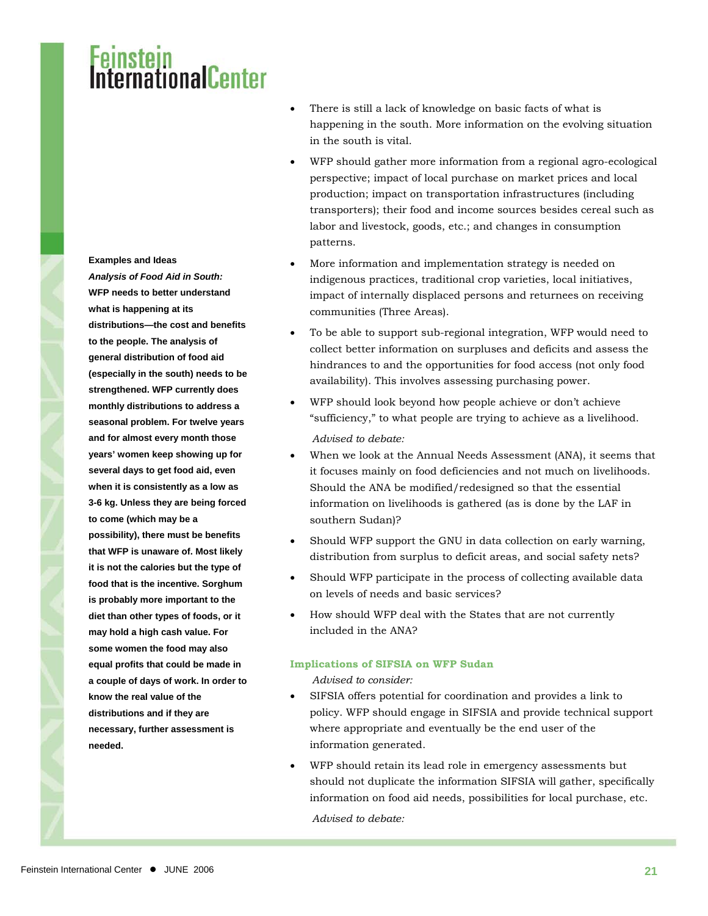#### **Examples and Ideas**

*Analysis of Food Aid in South:* **WFP needs to better understand what is happening at its distributions—the cost and benefits to the people. The analysis of general distribution of food aid (especially in the south) needs to be strengthened. WFP currently does monthly distributions to address a seasonal problem. For twelve years and for almost every month those years' women keep showing up for several days to get food aid, even when it is consistently as a low as 3-6 kg. Unless they are being forced to come (which may be a possibility), there must be benefits that WFP is unaware of. Most likely it is not the calories but the type of food that is the incentive. Sorghum is probably more important to the diet than other types of foods, or it may hold a high cash value. For some women the food may also equal profits that could be made in a couple of days of work. In order to know the real value of the distributions and if they are necessary, further assessment is needed.** 

- There is still a lack of knowledge on basic facts of what is happening in the south. More information on the evolving situation in the south is vital.
- WFP should gather more information from a regional agro-ecological perspective; impact of local purchase on market prices and local production; impact on transportation infrastructures (including transporters); their food and income sources besides cereal such as labor and livestock, goods, etc.; and changes in consumption patterns.
- More information and implementation strategy is needed on indigenous practices, traditional crop varieties, local initiatives, impact of internally displaced persons and returnees on receiving communities (Three Areas).
- To be able to support sub-regional integration, WFP would need to collect better information on surpluses and deficits and assess the hindrances to and the opportunities for food access (not only food availability). This involves assessing purchasing power.
- WFP should look beyond how people achieve or don't achieve "sufficiency," to what people are trying to achieve as a livelihood. *Advised to debate:*
- When we look at the Annual Needs Assessment (ANA), it seems that it focuses mainly on food deficiencies and not much on livelihoods. Should the ANA be modified/redesigned so that the essential information on livelihoods is gathered (as is done by the LAF in southern Sudan)?
- Should WFP support the GNU in data collection on early warning, distribution from surplus to deficit areas, and social safety nets?
- Should WFP participate in the process of collecting available data on levels of needs and basic services?
- How should WFP deal with the States that are not currently included in the ANA?

#### **Implications of SIFSIA on WFP Sudan**

*Advised to consider:* 

- SIFSIA offers potential for coordination and provides a link to policy. WFP should engage in SIFSIA and provide technical support where appropriate and eventually be the end user of the information generated.
- WFP should retain its lead role in emergency assessments but should not duplicate the information SIFSIA will gather, specifically information on food aid needs, possibilities for local purchase, etc.

*Advised to debate:*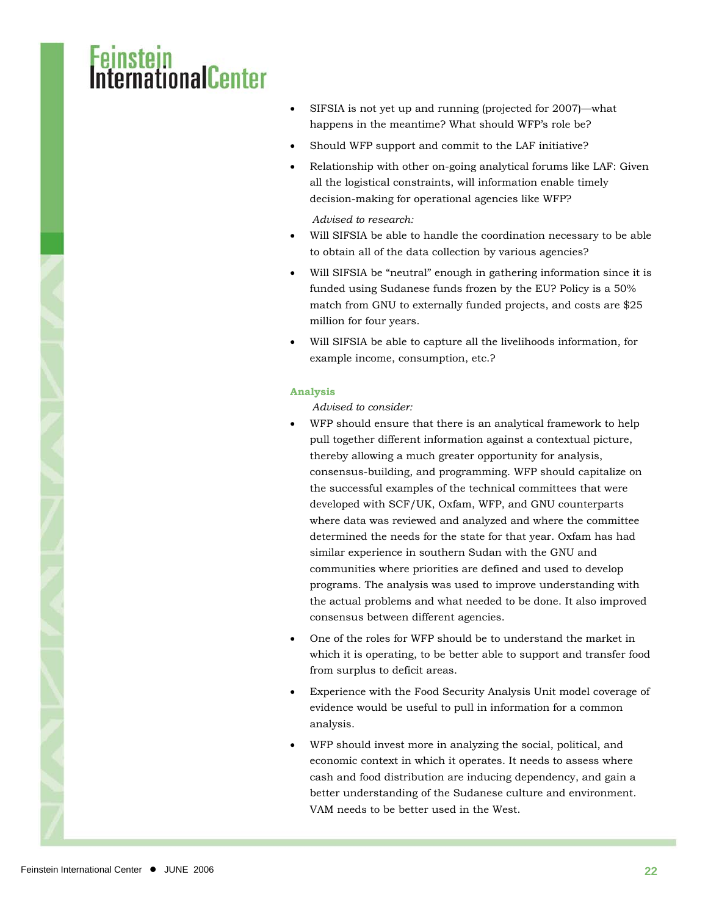### <mark>nstein</mark><br>ernationalCenter

- SIFSIA is not yet up and running (projected for 2007)—what happens in the meantime? What should WFP's role be?
- Should WFP support and commit to the LAF initiative?
- Relationship with other on-going analytical forums like LAF: Given all the logistical constraints, will information enable timely decision-making for operational agencies like WFP?

*Advised to research:* 

- Will SIFSIA be able to handle the coordination necessary to be able to obtain all of the data collection by various agencies?
- Will SIFSIA be "neutral" enough in gathering information since it is funded using Sudanese funds frozen by the EU? Policy is a 50% match from GNU to externally funded projects, and costs are \$25 million for four years.
- Will SIFSIA be able to capture all the livelihoods information, for example income, consumption, etc.?

#### **Analysis**

#### *Advised to consider:*

- WFP should ensure that there is an analytical framework to help pull together different information against a contextual picture, thereby allowing a much greater opportunity for analysis, consensus-building, and programming. WFP should capitalize on the successful examples of the technical committees that were developed with SCF/UK, Oxfam, WFP, and GNU counterparts where data was reviewed and analyzed and where the committee determined the needs for the state for that year. Oxfam has had similar experience in southern Sudan with the GNU and communities where priorities are defined and used to develop programs. The analysis was used to improve understanding with the actual problems and what needed to be done. It also improved consensus between different agencies.
- One of the roles for WFP should be to understand the market in which it is operating, to be better able to support and transfer food from surplus to deficit areas.
- Experience with the Food Security Analysis Unit model coverage of evidence would be useful to pull in information for a common analysis.
- WFP should invest more in analyzing the social, political, and economic context in which it operates. It needs to assess where cash and food distribution are inducing dependency, and gain a better understanding of the Sudanese culture and environment. VAM needs to be better used in the West.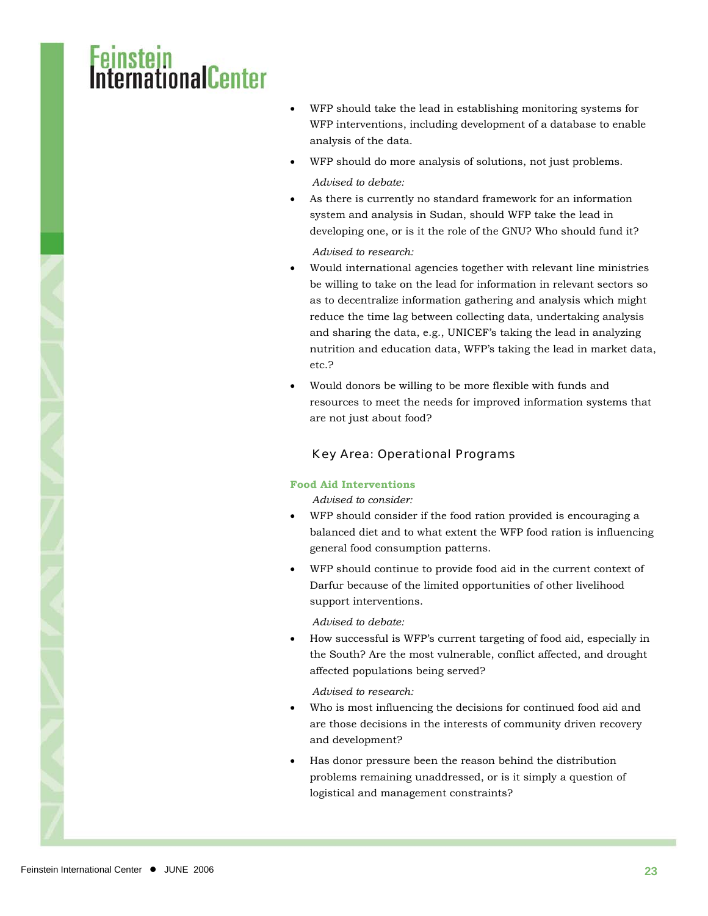### sten<br>mationalCenter

- WFP should take the lead in establishing monitoring systems for WFP interventions, including development of a database to enable analysis of the data.
- WFP should do more analysis of solutions, not just problems.

#### *Advised to debate:*

As there is currently no standard framework for an information system and analysis in Sudan, should WFP take the lead in developing one, or is it the role of the GNU? Who should fund it?

#### *Advised to research:*

- Would international agencies together with relevant line ministries be willing to take on the lead for information in relevant sectors so as to decentralize information gathering and analysis which might reduce the time lag between collecting data, undertaking analysis and sharing the data, e.g., UNICEF's taking the lead in analyzing nutrition and education data, WFP's taking the lead in market data, etc.?
- Would donors be willing to be more flexible with funds and resources to meet the needs for improved information systems that are not just about food?

#### Key Area: Operational Programs

#### **Food Aid Interventions**

*Advised to consider:* 

- WFP should consider if the food ration provided is encouraging a balanced diet and to what extent the WFP food ration is influencing general food consumption patterns.
- WFP should continue to provide food aid in the current context of Darfur because of the limited opportunities of other livelihood support interventions.

*Advised to debate:* 

• How successful is WFP's current targeting of food aid, especially in the South? Are the most vulnerable, conflict affected, and drought affected populations being served?

*Advised to research:* 

- Who is most influencing the decisions for continued food aid and are those decisions in the interests of community driven recovery and development?
- Has donor pressure been the reason behind the distribution problems remaining unaddressed, or is it simply a question of logistical and management constraints?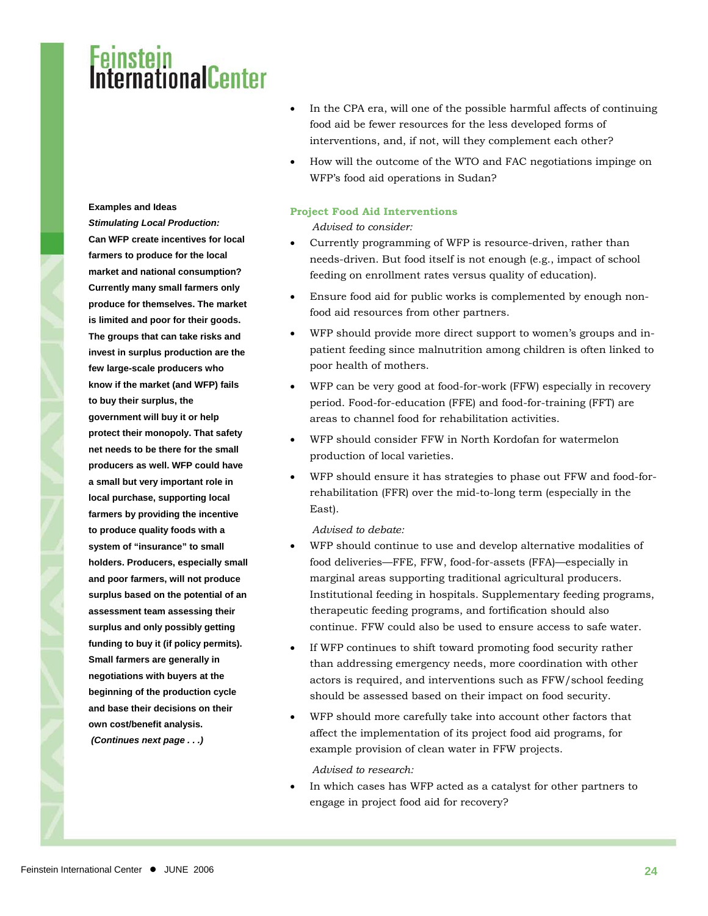### Feinstein<br>International<mark>Ce</mark>nter

#### **Examples and Ideas**

*Stimulating Local Production:* **Can WFP create incentives for local farmers to produce for the local market and national consumption? Currently many small farmers only produce for themselves. The market is limited and poor for their goods. The groups that can take risks and invest in surplus production are the few large-scale producers who know if the market (and WFP) fails to buy their surplus, the government will buy it or help protect their monopoly. That safety net needs to be there for the small producers as well. WFP could have a small but very important role in local purchase, supporting local farmers by providing the incentive to produce quality foods with a system of "insurance" to small holders. Producers, especially small and poor farmers, will not produce surplus based on the potential of an assessment team assessing their surplus and only possibly getting funding to buy it (if policy permits). Small farmers are generally in negotiations with buyers at the beginning of the production cycle and base their decisions on their own cost/benefit analysis.**   *(Continues next page . . .)* 

- In the CPA era, will one of the possible harmful affects of continuing food aid be fewer resources for the less developed forms of interventions, and, if not, will they complement each other?
- How will the outcome of the WTO and FAC negotiations impinge on WFP's food aid operations in Sudan?

#### **Project Food Aid Interventions**

*Advised to consider:* 

- Currently programming of WFP is resource-driven, rather than needs-driven. But food itself is not enough (e.g., impact of school feeding on enrollment rates versus quality of education).
- Ensure food aid for public works is complemented by enough nonfood aid resources from other partners.
- WFP should provide more direct support to women's groups and inpatient feeding since malnutrition among children is often linked to poor health of mothers.
- WFP can be very good at food-for-work (FFW) especially in recovery period. Food-for-education (FFE) and food-for-training (FFT) are areas to channel food for rehabilitation activities.
- WFP should consider FFW in North Kordofan for watermelon production of local varieties.
- WFP should ensure it has strategies to phase out FFW and food-forrehabilitation (FFR) over the mid-to-long term (especially in the East).

#### *Advised to debate:*

- WFP should continue to use and develop alternative modalities of food deliveries—FFE, FFW, food-for-assets (FFA)—especially in marginal areas supporting traditional agricultural producers. Institutional feeding in hospitals. Supplementary feeding programs, therapeutic feeding programs, and fortification should also continue. FFW could also be used to ensure access to safe water.
- If WFP continues to shift toward promoting food security rather than addressing emergency needs, more coordination with other actors is required, and interventions such as FFW/school feeding should be assessed based on their impact on food security.
- WFP should more carefully take into account other factors that affect the implementation of its project food aid programs, for example provision of clean water in FFW projects.

*Advised to research:* 

• In which cases has WFP acted as a catalyst for other partners to engage in project food aid for recovery?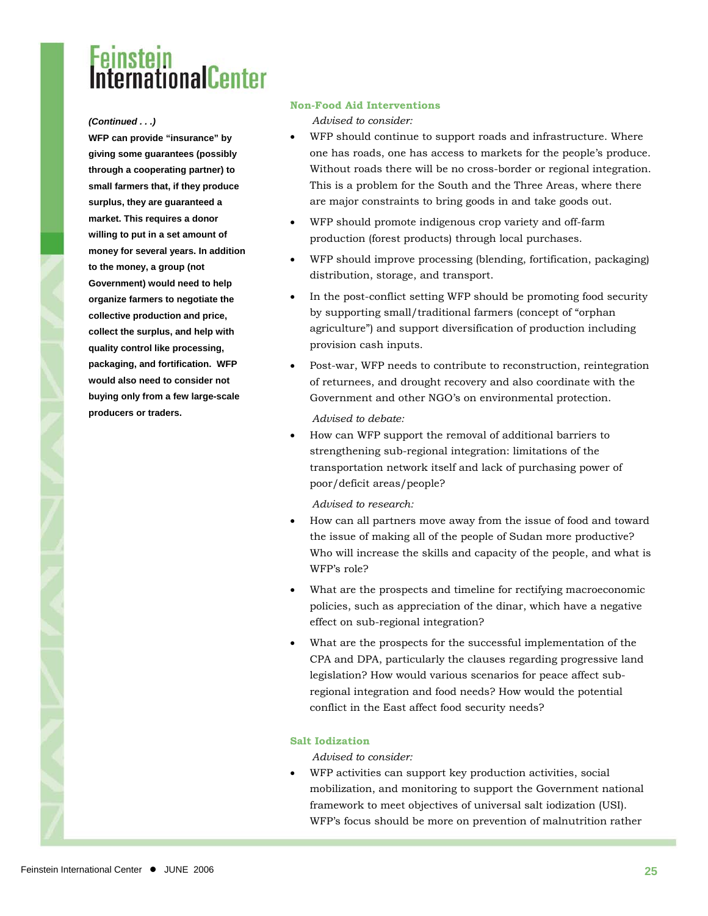### **Instern**<br>ternationalCenter

**WFP can provide "insurance" by giving some guarantees (possibly through a cooperating partner) to small farmers that, if they produce surplus, they are guaranteed a market. This requires a donor willing to put in a set amount of money for several years. In addition to the money, a group (not Government) would need to help organize farmers to negotiate the collective production and price, collect the surplus, and help with quality control like processing, packaging, and fortification. WFP would also need to consider not buying only from a few large-scale producers or traders.** 

#### **Non-Food Aid Interventions**

*(Continued . . .) Advised to consider:* 

- WFP should continue to support roads and infrastructure. Where one has roads, one has access to markets for the people's produce. Without roads there will be no cross-border or regional integration. This is a problem for the South and the Three Areas, where there are major constraints to bring goods in and take goods out.
- WFP should promote indigenous crop variety and off-farm production (forest products) through local purchases.
- WFP should improve processing (blending, fortification, packaging) distribution, storage, and transport.
- In the post-conflict setting WFP should be promoting food security by supporting small/traditional farmers (concept of "orphan agriculture") and support diversification of production including provision cash inputs.
- Post-war, WFP needs to contribute to reconstruction, reintegration of returnees, and drought recovery and also coordinate with the Government and other NGO's on environmental protection.

*Advised to debate:* 

• How can WFP support the removal of additional barriers to strengthening sub-regional integration: limitations of the transportation network itself and lack of purchasing power of poor/deficit areas/people?

*Advised to research:* 

- How can all partners move away from the issue of food and toward the issue of making all of the people of Sudan more productive? Who will increase the skills and capacity of the people, and what is WFP's role?
- What are the prospects and timeline for rectifying macroeconomic policies, such as appreciation of the dinar, which have a negative effect on sub-regional integration?
- What are the prospects for the successful implementation of the CPA and DPA, particularly the clauses regarding progressive land legislation? How would various scenarios for peace affect subregional integration and food needs? How would the potential conflict in the East affect food security needs?

#### **Salt Iodization**

*Advised to consider:* 

WFP activities can support key production activities, social mobilization, and monitoring to support the Government national framework to meet objectives of universal salt iodization (USI). WFP's focus should be more on prevention of malnutrition rather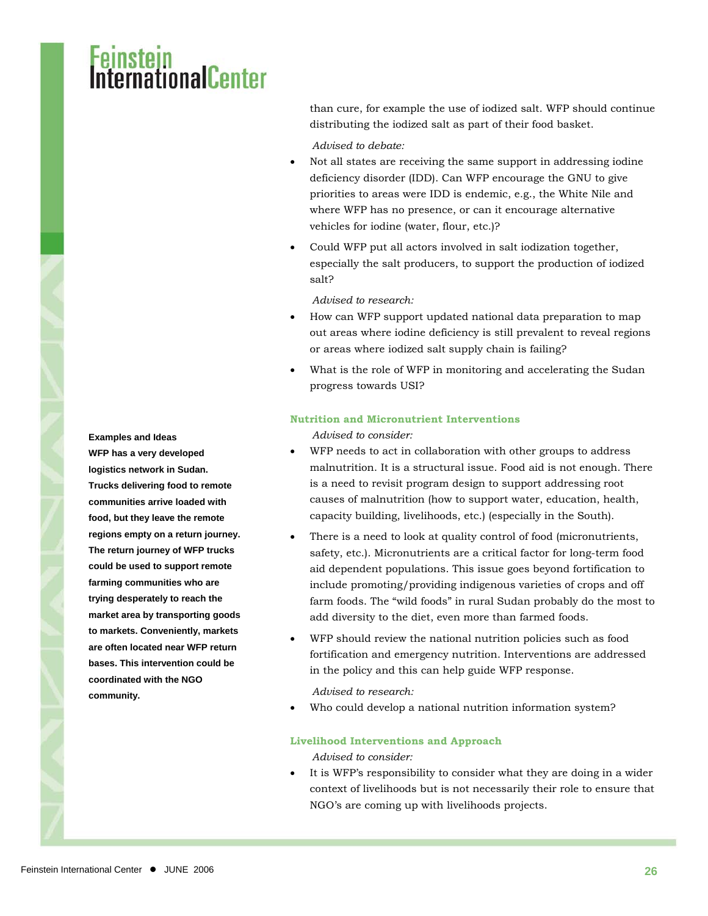## i<mark>stein</mark><br>rnafinnalCenter

than cure, for example the use of iodized salt. WFP should continue distributing the iodized salt as part of their food basket.

#### *Advised to debate:*

- Not all states are receiving the same support in addressing iodine deficiency disorder (IDD). Can WFP encourage the GNU to give priorities to areas were IDD is endemic, e.g., the White Nile and where WFP has no presence, or can it encourage alternative vehicles for iodine (water, flour, etc.)?
- Could WFP put all actors involved in salt iodization together, especially the salt producers, to support the production of iodized salt?

#### *Advised to research:*

- How can WFP support updated national data preparation to map out areas where iodine deficiency is still prevalent to reveal regions or areas where iodized salt supply chain is failing?
- What is the role of WFP in monitoring and accelerating the Sudan progress towards USI?

#### **Nutrition and Micronutrient Interventions**

- WFP needs to act in collaboration with other groups to address malnutrition. It is a structural issue. Food aid is not enough. There is a need to revisit program design to support addressing root causes of malnutrition (how to support water, education, health, capacity building, livelihoods, etc.) (especially in the South).
- There is a need to look at quality control of food (micronutrients, safety, etc.). Micronutrients are a critical factor for long-term food aid dependent populations. This issue goes beyond fortification to include promoting/providing indigenous varieties of crops and off farm foods. The "wild foods" in rural Sudan probably do the most to add diversity to the diet, even more than farmed foods.
- WFP should review the national nutrition policies such as food fortification and emergency nutrition. Interventions are addressed in the policy and this can help guide WFP response.

*Advised to research:* 

Who could develop a national nutrition information system?

#### **Livelihood Interventions and Approach**

*Advised to consider:* 

It is WFP's responsibility to consider what they are doing in a wider context of livelihoods but is not necessarily their role to ensure that NGO's are coming up with livelihoods projects.

**Examples and Ideas** *Advised to consider:*  **WFP has a very developed logistics network in Sudan. Trucks delivering food to remote communities arrive loaded with food, but they leave the remote regions empty on a return journey. The return journey of WFP trucks could be used to support remote farming communities who are trying desperately to reach the market area by transporting goods to markets. Conveniently, markets are often located near WFP return bases. This intervention could be coordinated with the NGO community.**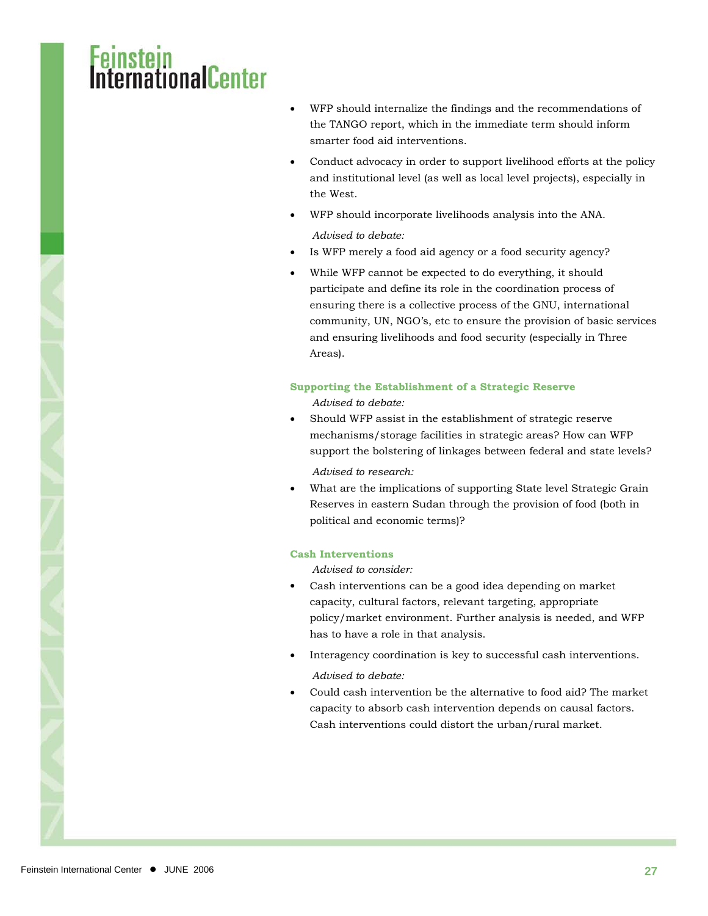### steni<br>mationalCenter

- WFP should internalize the findings and the recommendations of the TANGO report, which in the immediate term should inform smarter food aid interventions.
- Conduct advocacy in order to support livelihood efforts at the policy and institutional level (as well as local level projects), especially in the West.
- WFP should incorporate livelihoods analysis into the ANA. *Advised to debate:*
- Is WFP merely a food aid agency or a food security agency?
- While WFP cannot be expected to do everything, it should participate and define its role in the coordination process of ensuring there is a collective process of the GNU, international community, UN, NGO's, etc to ensure the provision of basic services and ensuring livelihoods and food security (especially in Three Areas).

#### **Supporting the Establishment of a Strategic Reserve**

- *Advised to debate:*
- Should WFP assist in the establishment of strategic reserve mechanisms/storage facilities in strategic areas? How can WFP support the bolstering of linkages between federal and state levels?

*Advised to research:* 

What are the implications of supporting State level Strategic Grain Reserves in eastern Sudan through the provision of food (both in political and economic terms)?

#### **Cash Interventions**

*Advised to consider:* 

- Cash interventions can be a good idea depending on market capacity, cultural factors, relevant targeting, appropriate policy/market environment. Further analysis is needed, and WFP has to have a role in that analysis.
- Interagency coordination is key to successful cash interventions. *Advised to debate:*
- Could cash intervention be the alternative to food aid? The market capacity to absorb cash intervention depends on causal factors. Cash interventions could distort the urban/rural market.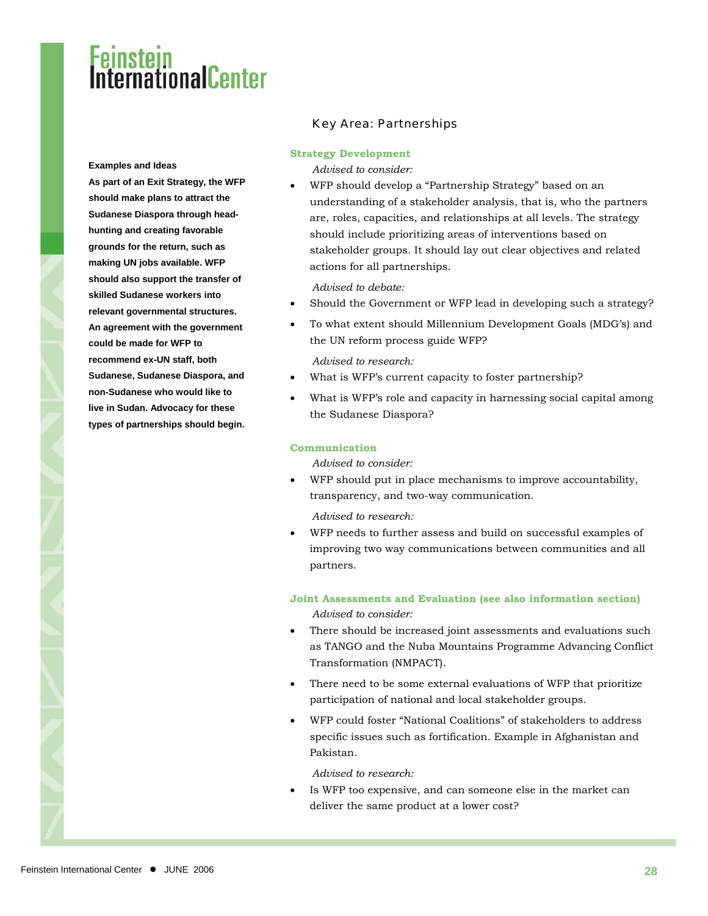#### **Examples and Ideas**

**As part of an Exit Strategy, the WFP should make plans to attract the Sudanese Diaspora through headhunting and creating favorable grounds for the return, such as making UN jobs available. WFP should also support the transfer of skilled Sudanese workers into relevant governmental structures. An agreement with the government could be made for WFP to recommend ex-UN staff, both Sudanese, Sudanese Diaspora, and non-Sudanese who would like to live in Sudan. Advocacy for these types of partnerships should begin.** 

#### Key Area: Partnerships

#### **Strategy Development**

*Advised to consider:* 

• WFP should develop a "Partnership Strategy" based on an understanding of a stakeholder analysis, that is, who the partners are, roles, capacities, and relationships at all levels. The strategy should include prioritizing areas of interventions based on stakeholder groups. It should lay out clear objectives and related actions for all partnerships.

*Advised to debate:* 

- Should the Government or WFP lead in developing such a strategy?
- To what extent should Millennium Development Goals (MDG's) and the UN reform process guide WFP?

*Advised to research:* 

- What is WFP's current capacity to foster partnership?
- What is WFP's role and capacity in harnessing social capital among the Sudanese Diaspora?

#### **Communication**

*Advised to consider:* 

• WFP should put in place mechanisms to improve accountability, transparency, and two-way communication.

*Advised to research:* 

• WFP needs to further assess and build on successful examples of improving two way communications between communities and all partners.

**Joint Assessments and Evaluation (see also information section)**  *Advised to consider:* 

- There should be increased joint assessments and evaluations such as TANGO and the Nuba Mountains Programme Advancing Conflict Transformation (NMPACT).
- There need to be some external evaluations of WFP that prioritize participation of national and local stakeholder groups.
- WFP could foster "National Coalitions" of stakeholders to address specific issues such as fortification. Example in Afghanistan and Pakistan.

*Advised to research:* 

Is WFP too expensive, and can someone else in the market can deliver the same product at a lower cost?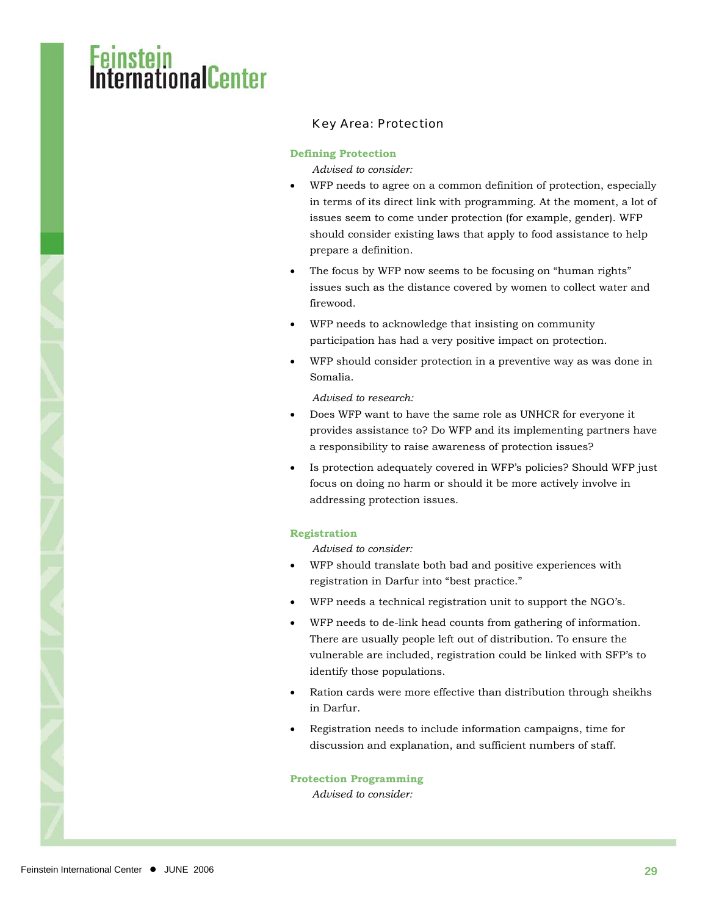## stein<br>mationalCenter

#### Key Area: Protection

#### **Defining Protection**

*Advised to consider:* 

- WFP needs to agree on a common definition of protection, especially in terms of its direct link with programming. At the moment, a lot of issues seem to come under protection (for example, gender). WFP should consider existing laws that apply to food assistance to help prepare a definition.
- The focus by WFP now seems to be focusing on "human rights" issues such as the distance covered by women to collect water and firewood.
- WFP needs to acknowledge that insisting on community participation has had a very positive impact on protection.
- WFP should consider protection in a preventive way as was done in Somalia.

*Advised to research:* 

- Does WFP want to have the same role as UNHCR for everyone it provides assistance to? Do WFP and its implementing partners have a responsibility to raise awareness of protection issues?
- Is protection adequately covered in WFP's policies? Should WFP just focus on doing no harm or should it be more actively involve in addressing protection issues.

#### **Registration**

*Advised to consider:* 

- WFP should translate both bad and positive experiences with registration in Darfur into "best practice."
- WFP needs a technical registration unit to support the NGO's.
- WFP needs to de-link head counts from gathering of information. There are usually people left out of distribution. To ensure the vulnerable are included, registration could be linked with SFP's to identify those populations.
- Ration cards were more effective than distribution through sheikhs in Darfur.
- Registration needs to include information campaigns, time for discussion and explanation, and sufficient numbers of staff.

#### **Protection Programming**

*Advised to consider:*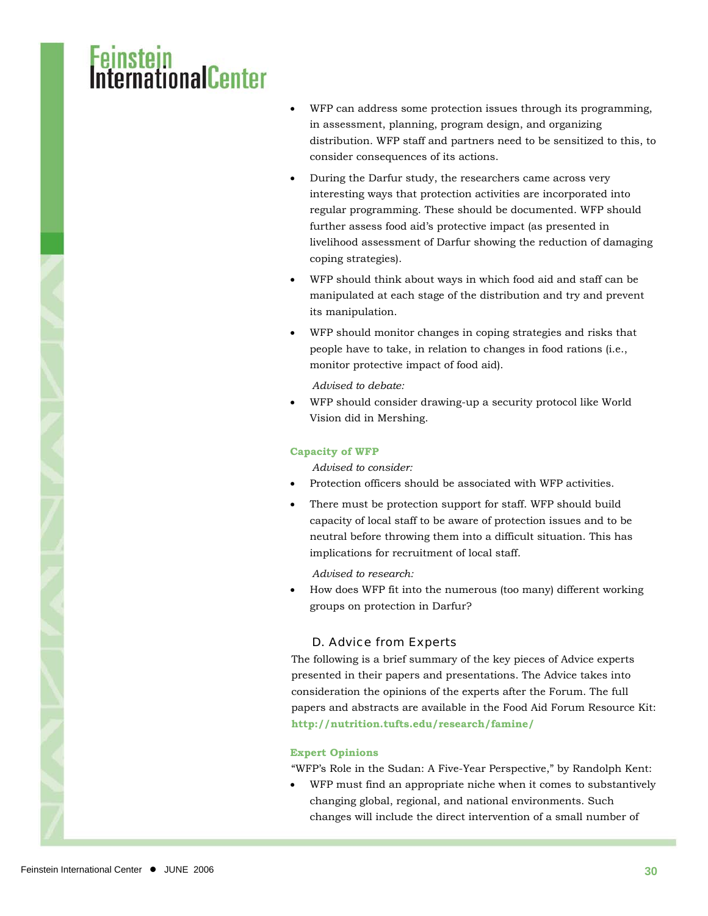### sten<br>mationalCenter

- WFP can address some protection issues through its programming, in assessment, planning, program design, and organizing distribution. WFP staff and partners need to be sensitized to this, to consider consequences of its actions.
- During the Darfur study, the researchers came across very interesting ways that protection activities are incorporated into regular programming. These should be documented. WFP should further assess food aid's protective impact (as presented in livelihood assessment of Darfur showing the reduction of damaging coping strategies).
- WFP should think about ways in which food aid and staff can be manipulated at each stage of the distribution and try and prevent its manipulation.
- WFP should monitor changes in coping strategies and risks that people have to take, in relation to changes in food rations (i.e., monitor protective impact of food aid).

*Advised to debate:* 

• WFP should consider drawing-up a security protocol like World Vision did in Mershing.

#### **Capacity of WFP**

*Advised to consider:* 

- Protection officers should be associated with WFP activities.
- There must be protection support for staff. WFP should build capacity of local staff to be aware of protection issues and to be neutral before throwing them into a difficult situation. This has implications for recruitment of local staff.

*Advised to research:* 

• How does WFP fit into the numerous (too many) different working groups on protection in Darfur?

#### D. Advice from Experts

The following is a brief summary of the key pieces of Advice experts presented in their papers and presentations. The Advice takes into consideration the opinions of the experts after the Forum. The full papers and abstracts are available in the Food Aid Forum Resource Kit: **<http://nutrition.tufts.edu/research/famine/>**

#### **Expert Opinions**

"WFP's Role in the Sudan: A Five-Year Perspective," by Randolph Kent:

• WFP must find an appropriate niche when it comes to substantively changing global, regional, and national environments. Such changes will include the direct intervention of a small number of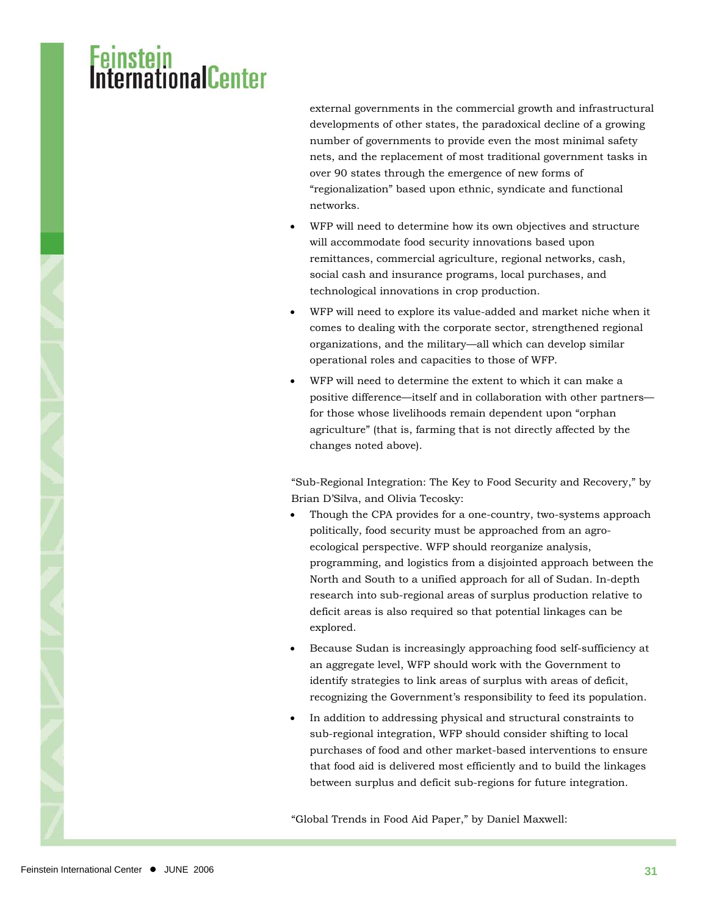## i<mark>stein</mark><br>rnafinnalCenter

external governments in the commercial growth and infrastructural developments of other states, the paradoxical decline of a growing number of governments to provide even the most minimal safety nets, and the replacement of most traditional government tasks in over 90 states through the emergence of new forms of "regionalization" based upon ethnic, syndicate and functional networks.

- WFP will need to determine how its own objectives and structure will accommodate food security innovations based upon remittances, commercial agriculture, regional networks, cash, social cash and insurance programs, local purchases, and technological innovations in crop production.
- WFP will need to explore its value-added and market niche when it comes to dealing with the corporate sector, strengthened regional organizations, and the military—all which can develop similar operational roles and capacities to those of WFP.
- WFP will need to determine the extent to which it can make a positive difference—itself and in collaboration with other partners for those whose livelihoods remain dependent upon "orphan agriculture" (that is, farming that is not directly affected by the changes noted above).

"Sub-Regional Integration: The Key to Food Security and Recovery," by Brian D'Silva, and Olivia Tecosky:

- Though the CPA provides for a one-country, two-systems approach politically, food security must be approached from an agroecological perspective. WFP should reorganize analysis, programming, and logistics from a disjointed approach between the North and South to a unified approach for all of Sudan. In-depth research into sub-regional areas of surplus production relative to deficit areas is also required so that potential linkages can be explored.
- Because Sudan is increasingly approaching food self-sufficiency at an aggregate level, WFP should work with the Government to identify strategies to link areas of surplus with areas of deficit, recognizing the Government's responsibility to feed its population.
- In addition to addressing physical and structural constraints to sub-regional integration, WFP should consider shifting to local purchases of food and other market-based interventions to ensure that food aid is delivered most efficiently and to build the linkages between surplus and deficit sub-regions for future integration.

"Global Trends in Food Aid Paper," by Daniel Maxwell: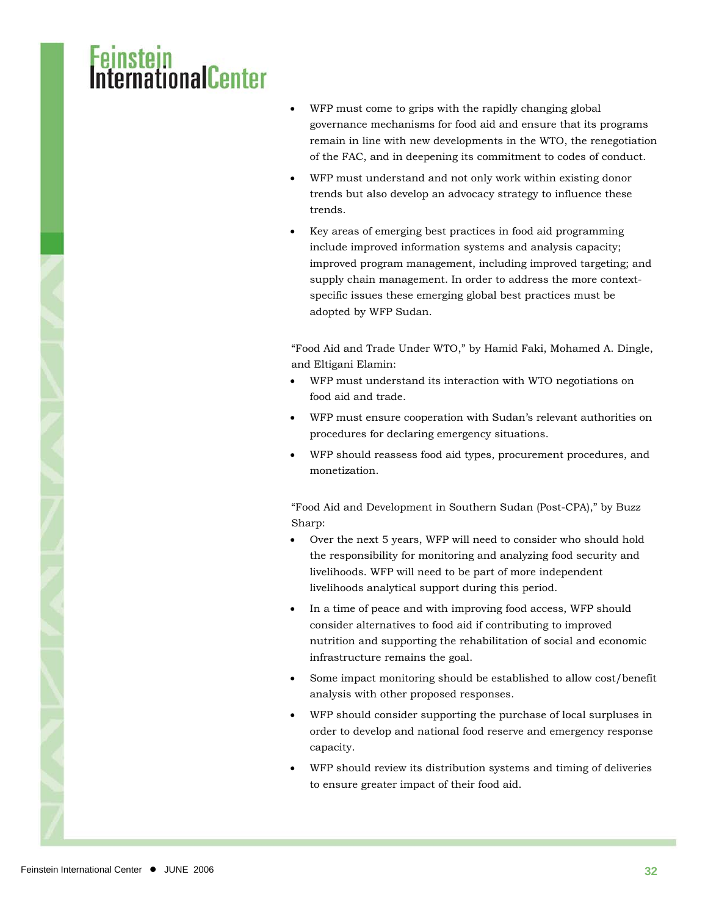### **mationalCenter**

- WFP must come to grips with the rapidly changing global governance mechanisms for food aid and ensure that its programs remain in line with new developments in the WTO, the renegotiation of the FAC, and in deepening its commitment to codes of conduct.
- WFP must understand and not only work within existing donor trends but also develop an advocacy strategy to influence these trends.
- Key areas of emerging best practices in food aid programming include improved information systems and analysis capacity; improved program management, including improved targeting; and supply chain management. In order to address the more contextspecific issues these emerging global best practices must be adopted by WFP Sudan.

"Food Aid and Trade Under WTO," by Hamid Faki, Mohamed A. Dingle, and Eltigani Elamin:

- WFP must understand its interaction with WTO negotiations on food aid and trade.
- WFP must ensure cooperation with Sudan's relevant authorities on procedures for declaring emergency situations.
- WFP should reassess food aid types, procurement procedures, and monetization.

"Food Aid and Development in Southern Sudan (Post-CPA)," by Buzz Sharp:

- Over the next 5 years, WFP will need to consider who should hold the responsibility for monitoring and analyzing food security and livelihoods. WFP will need to be part of more independent livelihoods analytical support during this period.
- In a time of peace and with improving food access, WFP should consider alternatives to food aid if contributing to improved nutrition and supporting the rehabilitation of social and economic infrastructure remains the goal.
- Some impact monitoring should be established to allow cost/benefit analysis with other proposed responses.
- WFP should consider supporting the purchase of local surpluses in order to develop and national food reserve and emergency response capacity.
- WFP should review its distribution systems and timing of deliveries to ensure greater impact of their food aid.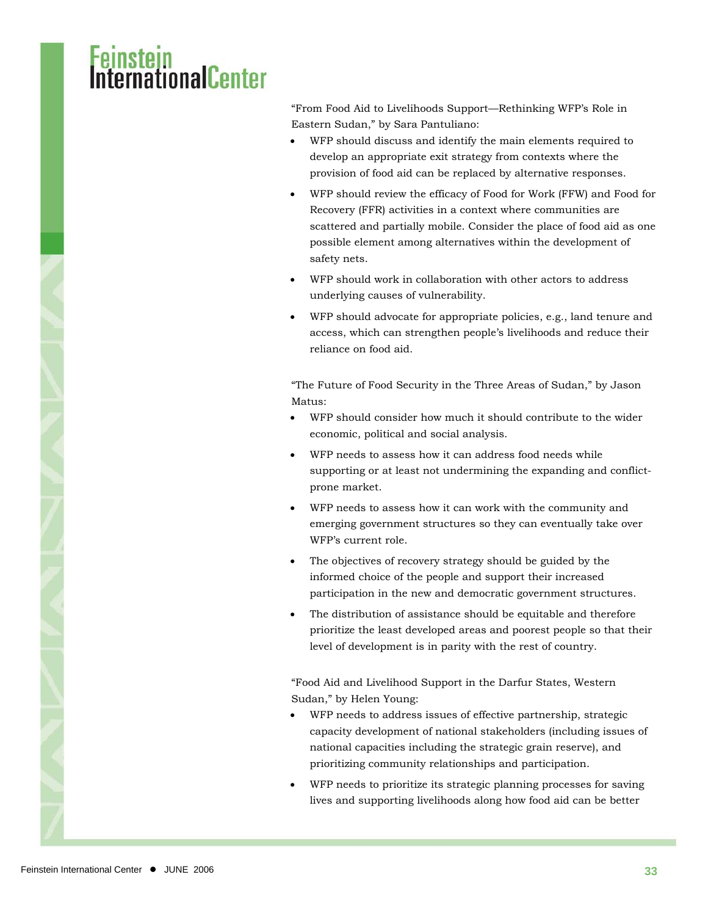### **stellings**Center

"From Food Aid to Livelihoods Support—Rethinking WFP's Role in Eastern Sudan," by Sara Pantuliano:

- WFP should discuss and identify the main elements required to develop an appropriate exit strategy from contexts where the provision of food aid can be replaced by alternative responses.
- WFP should review the efficacy of Food for Work (FFW) and Food for Recovery (FFR) activities in a context where communities are scattered and partially mobile. Consider the place of food aid as one possible element among alternatives within the development of safety nets.
- WFP should work in collaboration with other actors to address underlying causes of vulnerability.
- WFP should advocate for appropriate policies, e.g., land tenure and access, which can strengthen people's livelihoods and reduce their reliance on food aid.

"The Future of Food Security in the Three Areas of Sudan," by Jason Matus:

- WFP should consider how much it should contribute to the wider economic, political and social analysis.
- WFP needs to assess how it can address food needs while supporting or at least not undermining the expanding and conflictprone market.
- WFP needs to assess how it can work with the community and emerging government structures so they can eventually take over WFP's current role.
- The objectives of recovery strategy should be guided by the informed choice of the people and support their increased participation in the new and democratic government structures.
- The distribution of assistance should be equitable and therefore prioritize the least developed areas and poorest people so that their level of development is in parity with the rest of country.

"Food Aid and Livelihood Support in the Darfur States, Western Sudan," by Helen Young:

- WFP needs to address issues of effective partnership, strategic capacity development of national stakeholders (including issues of national capacities including the strategic grain reserve), and prioritizing community relationships and participation.
- WFP needs to prioritize its strategic planning processes for saving lives and supporting livelihoods along how food aid can be better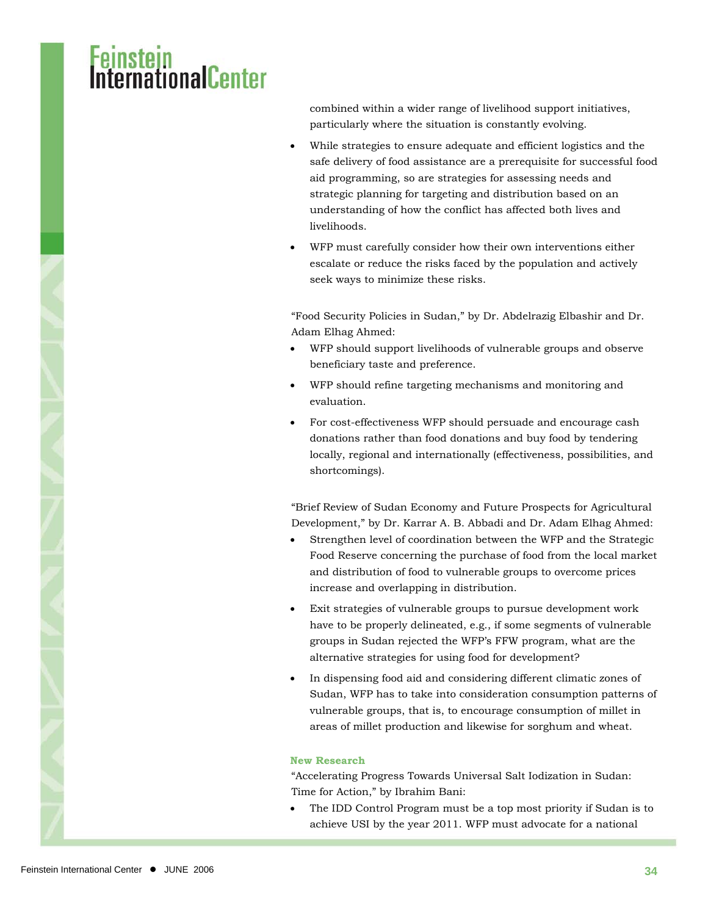## <mark>stein</mark><br>rnationalCenter

combined within a wider range of livelihood support initiatives, particularly where the situation is constantly evolving.

- While strategies to ensure adequate and efficient logistics and the safe delivery of food assistance are a prerequisite for successful food aid programming, so are strategies for assessing needs and strategic planning for targeting and distribution based on an understanding of how the conflict has affected both lives and livelihoods.
- WFP must carefully consider how their own interventions either escalate or reduce the risks faced by the population and actively seek ways to minimize these risks.

"Food Security Policies in Sudan," by Dr. Abdelrazig Elbashir and Dr. Adam Elhag Ahmed:

- WFP should support livelihoods of vulnerable groups and observe beneficiary taste and preference.
- WFP should refine targeting mechanisms and monitoring and evaluation.
- For cost-effectiveness WFP should persuade and encourage cash donations rather than food donations and buy food by tendering locally, regional and internationally (effectiveness, possibilities, and shortcomings).

"Brief Review of Sudan Economy and Future Prospects for Agricultural Development," by Dr. Karrar A. B. Abbadi and Dr. Adam Elhag Ahmed:

- Strengthen level of coordination between the WFP and the Strategic Food Reserve concerning the purchase of food from the local market and distribution of food to vulnerable groups to overcome prices increase and overlapping in distribution.
- Exit strategies of vulnerable groups to pursue development work have to be properly delineated, e.g., if some segments of vulnerable groups in Sudan rejected the WFP's FFW program, what are the alternative strategies for using food for development?
- In dispensing food aid and considering different climatic zones of Sudan, WFP has to take into consideration consumption patterns of vulnerable groups, that is, to encourage consumption of millet in areas of millet production and likewise for sorghum and wheat.

#### **New Research**

"Accelerating Progress Towards Universal Salt Iodization in Sudan: Time for Action," by Ibrahim Bani:

• The IDD Control Program must be a top most priority if Sudan is to achieve USI by the year 2011. WFP must advocate for a national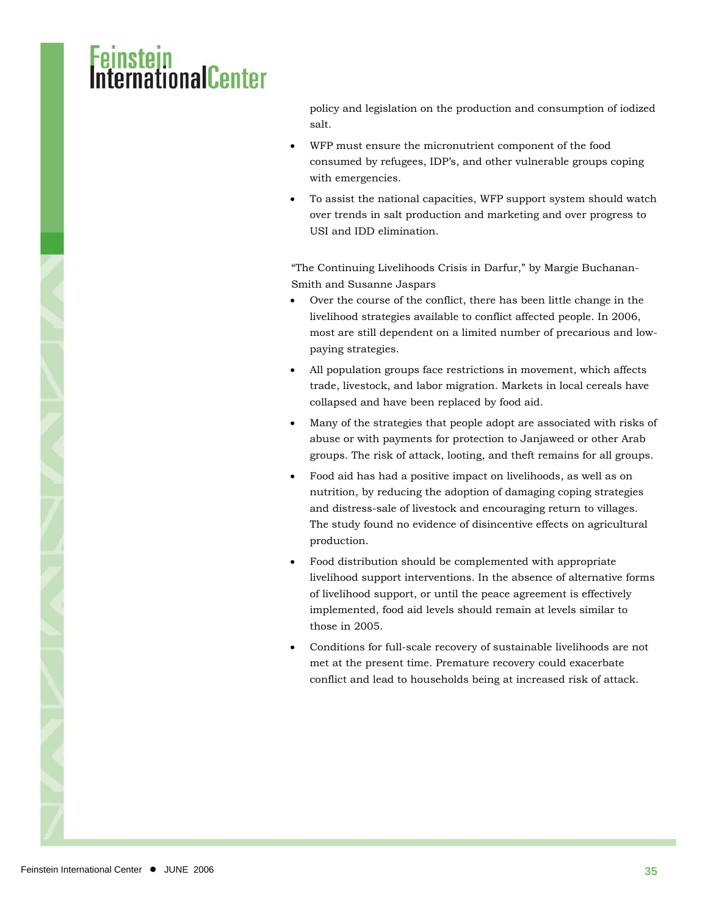## <mark>stein</mark><br>rnationalCenter

policy and legislation on the production and consumption of iodized salt.

- WFP must ensure the micronutrient component of the food consumed by refugees, IDP's, and other vulnerable groups coping with emergencies.
- To assist the national capacities, WFP support system should watch over trends in salt production and marketing and over progress to USI and IDD elimination.

"The Continuing Livelihoods Crisis in Darfur," by Margie Buchanan-Smith and Susanne Jaspars

- Over the course of the conflict, there has been little change in the livelihood strategies available to conflict affected people. In 2006, most are still dependent on a limited number of precarious and lowpaying strategies.
- All population groups face restrictions in movement, which affects trade, livestock, and labor migration. Markets in local cereals have collapsed and have been replaced by food aid.
- Many of the strategies that people adopt are associated with risks of abuse or with payments for protection to Janjaweed or other Arab groups. The risk of attack, looting, and theft remains for all groups.
- Food aid has had a positive impact on livelihoods, as well as on nutrition, by reducing the adoption of damaging coping strategies and distress-sale of livestock and encouraging return to villages. The study found no evidence of disincentive effects on agricultural production.
- Food distribution should be complemented with appropriate livelihood support interventions. In the absence of alternative forms of livelihood support, or until the peace agreement is effectively implemented, food aid levels should remain at levels similar to those in 2005.
- Conditions for full-scale recovery of sustainable livelihoods are not met at the present time. Premature recovery could exacerbate conflict and lead to households being at increased risk of attack.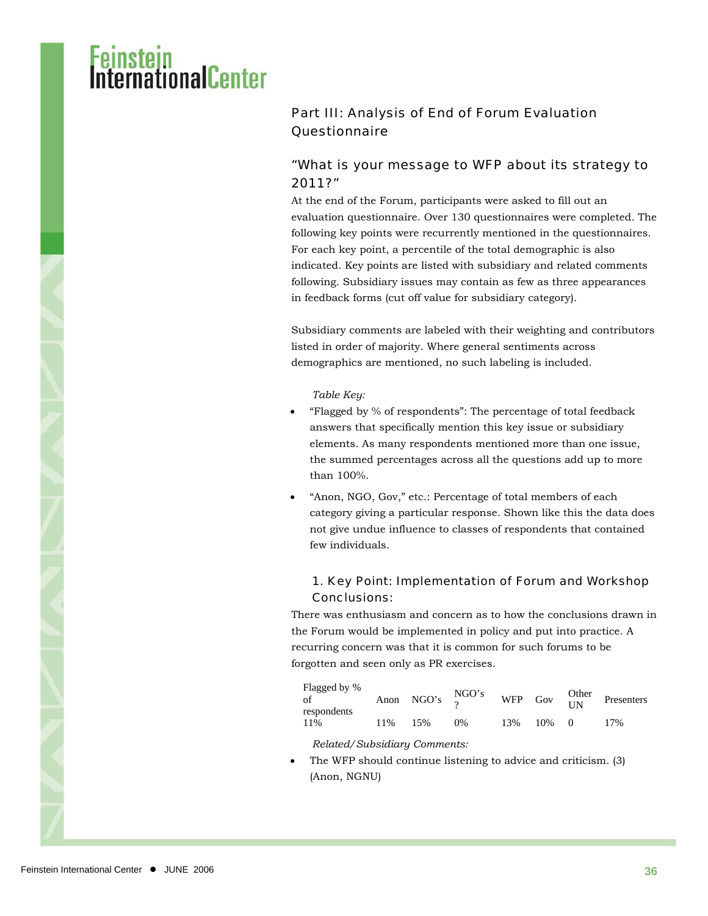### i<mark>stein</mark><br>rnafinnalCenter

### Part III: Analysis of End of Forum Evaluation **Questionnaire**

#### "What is your message to WFP about its strategy to 2011?"

At the end of the Forum, participants were asked to fill out an evaluation questionnaire. Over 130 questionnaires were completed. The following key points were recurrently mentioned in the questionnaires. For each key point, a percentile of the total demographic is also indicated. Key points are listed with subsidiary and related comments following. Subsidiary issues may contain as few as three appearances in feedback forms (cut off value for subsidiary category).

Subsidiary comments are labeled with their weighting and contributors listed in order of majority. Where general sentiments across demographics are mentioned, no such labeling is included.

*Table Key:* 

- "Flagged by % of respondents": The percentage of total feedback answers that specifically mention this key issue or subsidiary elements. As many respondents mentioned more than one issue, the summed percentages across all the questions add up to more than 100%.
- "Anon, NGO, Gov," etc.: Percentage of total members of each category giving a particular response. Shown like this the data does not give undue influence to classes of respondents that contained few individuals.

#### 1. Key Point: Implementation of Forum and Workshop Conclusions:

There was enthusiasm and concern as to how the conclusions drawn in the Forum would be implemented in policy and put into practice. A recurring concern was that it is common for such forums to be forgotten and seen only as PR exercises.

| Flagged by %<br>of<br>respondents |     | Anon NGO's $\frac{\text{NGO's}}{2}$ |    | WFP Gov $\frac{\text{Other}}{\text{IN}}$ |            | Presenters |
|-----------------------------------|-----|-------------------------------------|----|------------------------------------------|------------|------------|
| 11%                               | 11% | 15%                                 | 0% | 13%                                      | $10\% = 0$ | 17%        |

*Related/Subsidiary Comments:* 

The WFP should continue listening to advice and criticism. (3) (Anon, NGNU)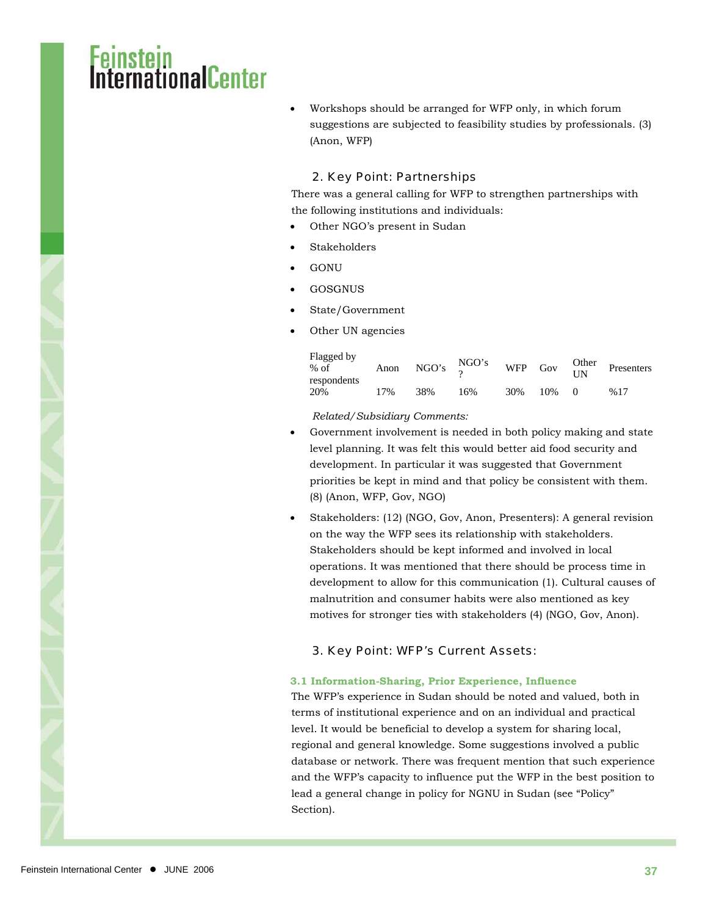### <mark>nstein</mark><br>ernationalCenter

• Workshops should be arranged for WFP only, in which forum suggestions are subjected to feasibility studies by professionals. (3) (Anon, WFP)

#### 2. Key Point: Partnerships

There was a general calling for WFP to strengthen partnerships with the following institutions and individuals:

- Other NGO's present in Sudan
- **Stakeholders**
- GONU
- GOSGNUS
- State/Government
- Other UN agencies

| Flagged by<br>$%$ of<br>respondents | Anon |     | NGO's $\frac{\text{NGO's}}{2}$ | <b>WFP</b> | Gov | Other<br>$\overline{UN}$ | Presenters |
|-------------------------------------|------|-----|--------------------------------|------------|-----|--------------------------|------------|
| 20%                                 | 17%  | 38% | 16%                            | 30%        | 10% |                          | %17        |

*Related/Subsidiary Comments:* 

- Government involvement is needed in both policy making and state level planning. It was felt this would better aid food security and development. In particular it was suggested that Government priorities be kept in mind and that policy be consistent with them. (8) (Anon, WFP, Gov, NGO)
- Stakeholders: (12) (NGO, Gov, Anon, Presenters): A general revision on the way the WFP sees its relationship with stakeholders. Stakeholders should be kept informed and involved in local operations. It was mentioned that there should be process time in development to allow for this communication (1). Cultural causes of malnutrition and consumer habits were also mentioned as key motives for stronger ties with stakeholders (4) (NGO, Gov, Anon).

#### 3. Key Point: WFP's Current Assets:

#### **3.1 Information-Sharing, Prior Experience, Influence**

The WFP's experience in Sudan should be noted and valued, both in terms of institutional experience and on an individual and practical level. It would be beneficial to develop a system for sharing local, regional and general knowledge. Some suggestions involved a public database or network. There was frequent mention that such experience and the WFP's capacity to influence put the WFP in the best position to lead a general change in policy for NGNU in Sudan (see "Policy" Section).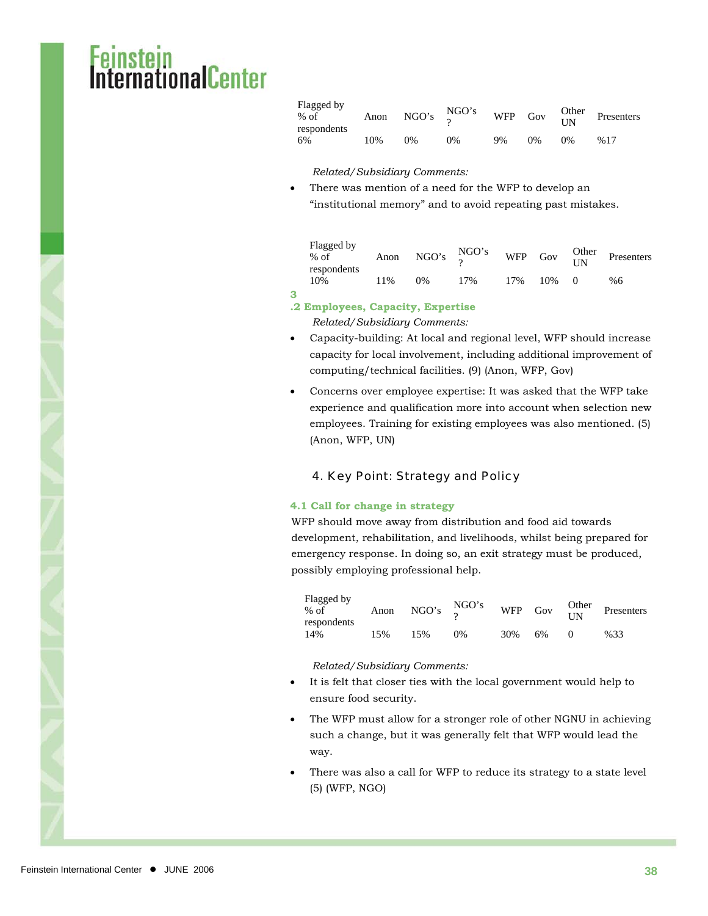### msten<br>ernationalCenter

| Flagged by<br>$%$ of<br>respondents | Anon | NGO's $\frac{\text{NGO's}}{2}$ |       |    | WFP Gov $\frac{\text{Other}}{\text{IN}}$ |    | Presenters |
|-------------------------------------|------|--------------------------------|-------|----|------------------------------------------|----|------------|
| 6%                                  | 10%  | 0%                             | $0\%$ | 9% | $0\%$                                    | 0% | %17        |

*Related/Subsidiary Comments:* 

• There was mention of a need for the WFP to develop an "institutional memory" and to avoid repeating past mistakes.

| Flagged by<br>$%$ of<br>respondents | Anon | NGO's $\frac{\text{NGO's}}{2}$ |     |     |     | WFP Gov $\frac{\text{Other}}{\text{UN}}$ | Presenters |
|-------------------------------------|------|--------------------------------|-----|-----|-----|------------------------------------------|------------|
| 10%                                 | 11%  | $0\%$                          | 17% | 17% | 10% |                                          | %6         |

#### **.2 Employees, Capacity, Expertise**

**3**

*Related/Subsidiary Comments:* 

- Capacity-building: At local and regional level, WFP should increase capacity for local involvement, including additional improvement of computing/technical facilities. (9) (Anon, WFP, Gov)
- Concerns over employee expertise: It was asked that the WFP take experience and qualification more into account when selection new employees. Training for existing employees was also mentioned. (5) (Anon, WFP, UN)

#### 4. Key Point: Strategy and Policy

#### **4.1 Call for change in strategy**

WFP should move away from distribution and food aid towards development, rehabilitation, and livelihoods, whilst being prepared for emergency response. In doing so, an exit strategy must be produced, possibly employing professional help.

| Flagged by<br>$%$ of<br>respondents<br>14% | Anon | NGO's $\frac{\text{NGO's}}{2}$ |       | WFP Gov |    | $\frac{Other}{UN}$ | Presenters |
|--------------------------------------------|------|--------------------------------|-------|---------|----|--------------------|------------|
|                                            | 15%  | 15%                            | $0\%$ | 30%     | 6% | $\bigcap$          | %33        |

*Related/Subsidiary Comments:* 

- It is felt that closer ties with the local government would help to ensure food security.
- The WFP must allow for a stronger role of other NGNU in achieving such a change, but it was generally felt that WFP would lead the way.
- There was also a call for WFP to reduce its strategy to a state level (5) (WFP, NGO)